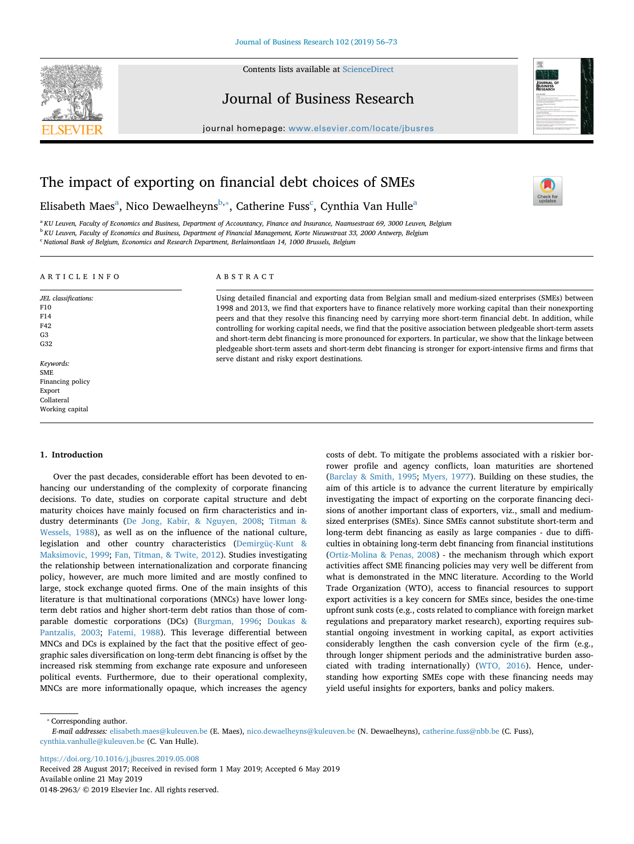

Contents lists available at [ScienceDirect](http://www.sciencedirect.com/science/journal/01482963)

Journal of Business Research

journal homepage: [www.elsevier.com/locate/jbusres](https://www.elsevier.com/locate/jbusres)



 $\frac{N}{2}$ 

# The impact of exporting on financial debt choices of SMEs

Elis[a](#page-0-0)[b](#page-0-1)eth Maes<sup>a</sup>, Ni[c](#page-0-3)o Dewaelheyns<sup>b,</sup>\*, Catherine Fuss<sup>c</sup>, Cynthia Van Hulle<sup>a</sup>

<span id="page-0-1"></span><span id="page-0-0"></span><sup>a</sup> *KU Leuven, Faculty of Economics and Business, Department of Accountancy, Finance and Insurance, Naamsestraat 69, 3000 Leuven, Belgium* <sup>b</sup> *KU Leuven, Faculty of Economics and Business, Department of Financial Management, Korte Nieuwstraat 33, 2000 Antwerp, Belgium*

<span id="page-0-3"></span><sup>c</sup> *National Bank of Belgium, Economics and Research Department, Berlaimontlaan 14, 1000 Brussels, Belgium*

# ARTICLE INFO

*JEL classifications:* F10 F14 F42 G3 G<sub>32</sub> *Keywords:* SME

Financing policy Export Collateral Working capital

# ABSTRACT

Using detailed financial and exporting data from Belgian small and medium-sized enterprises (SMEs) between 1998 and 2013, we find that exporters have to finance relatively more working capital than their nonexporting peers and that they resolve this financing need by carrying more short-term financial debt. In addition, while controlling for working capital needs, we find that the positive association between pledgeable short-term assets and short-term debt financing is more pronounced for exporters. In particular, we show that the linkage between pledgeable short-term assets and short-term debt financing is stronger for export-intensive firms and firms that serve distant and risky export destinations.

#### **1. Introduction**

Over the past decades, considerable effort has been devoted to enhancing our understanding of the complexity of corporate financing decisions. To date, studies on corporate capital structure and debt maturity choices have mainly focused on firm characteristics and industry determinants ([De Jong, Kabir, & Nguyen, 2008;](#page-17-0) [Titman &](#page-17-1) [Wessels, 1988\)](#page-17-1), as well as on the influence of the national culture, legislation and other country characteristics [\(Demirgüç-Kunt &](#page-17-2) [Maksimovic, 1999;](#page-17-2) [Fan, Titman, & Twite, 2012](#page-17-3)). Studies investigating the relationship between internationalization and corporate financing policy, however, are much more limited and are mostly confined to large, stock exchange quoted firms. One of the main insights of this literature is that multinational corporations (MNCs) have lower longterm debt ratios and higher short-term debt ratios than those of comparable domestic corporations (DCs) [\(Burgman, 1996](#page-17-4); [Doukas &](#page-17-5) [Pantzalis, 2003](#page-17-5); [Fatemi, 1988\)](#page-17-6). This leverage differential between MNCs and DCs is explained by the fact that the positive effect of geographic sales diversification on long-term debt financing is offset by the increased risk stemming from exchange rate exposure and unforeseen political events. Furthermore, due to their operational complexity, MNCs are more informationally opaque, which increases the agency

costs of debt. To mitigate the problems associated with a riskier borrower profile and agency conflicts, loan maturities are shortened ([Barclay & Smith, 1995;](#page-16-0) [Myers, 1977\)](#page-17-7). Building on these studies, the aim of this article is to advance the current literature by empirically investigating the impact of exporting on the corporate financing decisions of another important class of exporters, viz., small and mediumsized enterprises (SMEs). Since SMEs cannot substitute short-term and long-term debt financing as easily as large companies - due to difficulties in obtaining long-term debt financing from financial institutions ([Ortiz-Molina & Penas, 2008](#page-17-8)) - the mechanism through which export activities affect SME financing policies may very well be different from what is demonstrated in the MNC literature. According to the World Trade Organization (WTO), access to financial resources to support export activities is a key concern for SMEs since, besides the one-time upfront sunk costs (e.g., costs related to compliance with foreign market regulations and preparatory market research), exporting requires substantial ongoing investment in working capital, as export activities considerably lengthen the cash conversion cycle of the firm (e.g., through longer shipment periods and the administrative burden associated with trading internationally) [\(WTO, 2016\)](#page-17-9). Hence, understanding how exporting SMEs cope with these financing needs may yield useful insights for exporters, banks and policy makers.

<span id="page-0-2"></span>⁎ Corresponding author.

*E-mail addresses:* [elisabeth.maes@kuleuven.be](mailto:elisabeth.maes@kuleuven.be) (E. Maes), [nico.dewaelheyns@kuleuven.be](mailto:nico.dewaelheyns@kuleuven.be) (N. Dewaelheyns), [catherine.fuss@nbb.be](mailto:catherine.fuss@nbb.be) (C. Fuss), [cynthia.vanhulle@kuleuven.be](mailto:cynthia.vanhulle@kuleuven.be) (C. Van Hulle).

<https://doi.org/10.1016/j.jbusres.2019.05.008> Received 28 August 2017; Received in revised form 1 May 2019; Accepted 6 May 2019 Available online 21 May 2019

0148-2963/ © 2019 Elsevier Inc. All rights reserved.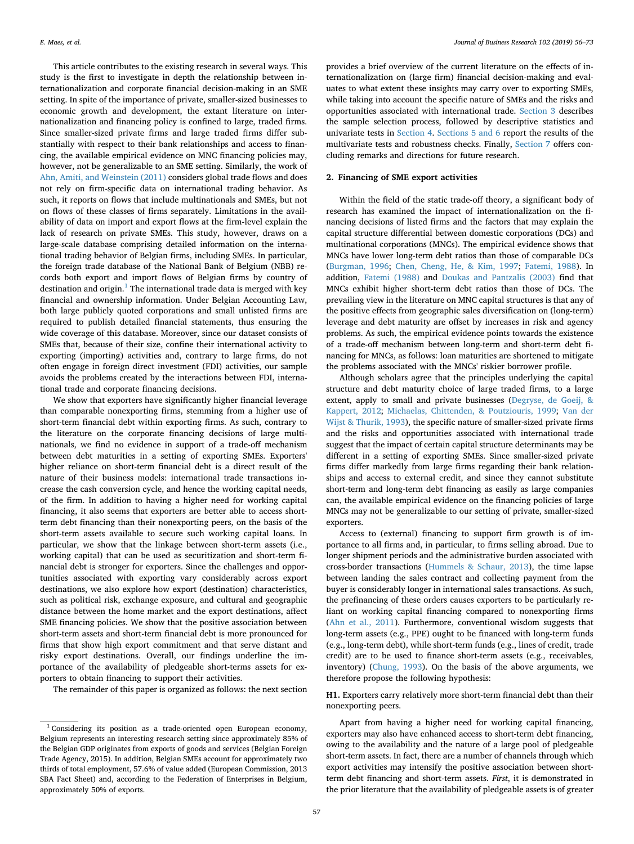This article contributes to the existing research in several ways. This study is the first to investigate in depth the relationship between internationalization and corporate financial decision-making in an SME setting. In spite of the importance of private, smaller-sized businesses to economic growth and development, the extant literature on internationalization and financing policy is confined to large, traded firms. Since smaller-sized private firms and large traded firms differ substantially with respect to their bank relationships and access to financing, the available empirical evidence on MNC financing policies may, however, not be generalizable to an SME setting. Similarly, the work of [Ahn, Amiti, and Weinstein \(2011\)](#page-16-1) considers global trade flows and does not rely on firm-specific data on international trading behavior. As such, it reports on flows that include multinationals and SMEs, but not on flows of these classes of firms separately. Limitations in the availability of data on import and export flows at the firm-level explain the lack of research on private SMEs. This study, however, draws on a large-scale database comprising detailed information on the international trading behavior of Belgian firms, including SMEs. In particular, the foreign trade database of the National Bank of Belgium (NBB) records both export and import flows of Belgian firms by country of destination and origin. $<sup>1</sup>$  The international trade data is merged with key</sup> financial and ownership information. Under Belgian Accounting Law, both large publicly quoted corporations and small unlisted firms are required to publish detailed financial statements, thus ensuring the wide coverage of this database. Moreover, since our dataset consists of SMEs that, because of their size, confine their international activity to exporting (importing) activities and, contrary to large firms, do not often engage in foreign direct investment (FDI) activities, our sample avoids the problems created by the interactions between FDI, international trade and corporate financing decisions.

We show that exporters have significantly higher financial leverage than comparable nonexporting firms, stemming from a higher use of short-term financial debt within exporting firms. As such, contrary to the literature on the corporate financing decisions of large multinationals, we find no evidence in support of a trade-off mechanism between debt maturities in a setting of exporting SMEs. Exporters' higher reliance on short-term financial debt is a direct result of the nature of their business models: international trade transactions increase the cash conversion cycle, and hence the working capital needs, of the firm. In addition to having a higher need for working capital financing, it also seems that exporters are better able to access shortterm debt financing than their nonexporting peers, on the basis of the short-term assets available to secure such working capital loans. In particular, we show that the linkage between short-term assets (i.e., working capital) that can be used as securitization and short-term financial debt is stronger for exporters. Since the challenges and opportunities associated with exporting vary considerably across export destinations, we also explore how export (destination) characteristics, such as political risk, exchange exposure, and cultural and geographic distance between the home market and the export destinations, affect SME financing policies. We show that the positive association between short-term assets and short-term financial debt is more pronounced for firms that show high export commitment and that serve distant and risky export destinations. Overall, our findings underline the importance of the availability of pledgeable short-terms assets for exporters to obtain financing to support their activities.

The remainder of this paper is organized as follows: the next section

provides a brief overview of the current literature on the effects of internationalization on (large firm) financial decision-making and evaluates to what extent these insights may carry over to exporting SMEs, while taking into account the specific nature of SMEs and the risks and opportunities associated with international trade. [Section 3](#page-2-0) describes the sample selection process, followed by descriptive statistics and univariate tests in [Section 4](#page-4-0). [Sections 5 and 6](#page-4-1) report the results of the multivariate tests and robustness checks. Finally, [Section 7](#page-13-0) offers concluding remarks and directions for future research.

# **2. Financing of SME export activities**

Within the field of the static trade-off theory, a significant body of research has examined the impact of internationalization on the financing decisions of listed firms and the factors that may explain the capital structure differential between domestic corporations (DCs) and multinational corporations (MNCs). The empirical evidence shows that MNCs have lower long-term debt ratios than those of comparable DCs ([Burgman, 1996;](#page-17-4) [Chen, Cheng, He, & Kim, 1997](#page-17-10); [Fatemi, 1988](#page-17-6)). In addition, [Fatemi \(1988\)](#page-17-6) and [Doukas and Pantzalis \(2003\)](#page-17-5) find that MNCs exhibit higher short-term debt ratios than those of DCs. The prevailing view in the literature on MNC capital structures is that any of the positive effects from geographic sales diversification on (long-term) leverage and debt maturity are offset by increases in risk and agency problems. As such, the empirical evidence points towards the existence of a trade-off mechanism between long-term and short-term debt financing for MNCs, as follows: loan maturities are shortened to mitigate the problems associated with the MNCs' riskier borrower profile.

Although scholars agree that the principles underlying the capital structure and debt maturity choice of large traded firms, to a large extent, apply to small and private businesses ([Degryse, de Goeij, &](#page-17-11) [Kappert, 2012](#page-17-11); [Michaelas, Chittenden, & Poutziouris, 1999;](#page-17-12) [Van der](#page-17-13) [Wijst & Thurik, 1993\)](#page-17-13), the specific nature of smaller-sized private firms and the risks and opportunities associated with international trade suggest that the impact of certain capital structure determinants may be different in a setting of exporting SMEs. Since smaller-sized private firms differ markedly from large firms regarding their bank relationships and access to external credit, and since they cannot substitute short-term and long-term debt financing as easily as large companies can, the available empirical evidence on the financing policies of large MNCs may not be generalizable to our setting of private, smaller-sized exporters.

Access to (external) financing to support firm growth is of importance to all firms and, in particular, to firms selling abroad. Due to longer shipment periods and the administrative burden associated with cross-border transactions ([Hummels & Schaur, 2013\)](#page-17-14), the time lapse between landing the sales contract and collecting payment from the buyer is considerably longer in international sales transactions. As such, the prefinancing of these orders causes exporters to be particularly reliant on working capital financing compared to nonexporting firms ([Ahn et al., 2011\)](#page-16-1). Furthermore, conventional wisdom suggests that long-term assets (e.g., PPE) ought to be financed with long-term funds (e.g., long-term debt), while short-term funds (e.g., lines of credit, trade credit) are to be used to finance short-term assets (e.g., receivables, inventory) [\(Chung, 1993\)](#page-17-15). On the basis of the above arguments, we therefore propose the following hypothesis:

<span id="page-1-1"></span>**H1.** Exporters carry relatively more short-term financial debt than their nonexporting peers.

Apart from having a higher need for working capital financing, exporters may also have enhanced access to short-term debt financing, owing to the availability and the nature of a large pool of pledgeable short-term assets. In fact, there are a number of channels through which export activities may intensify the positive association between shortterm debt financing and short-term assets. *First*, it is demonstrated in the prior literature that the availability of pledgeable assets is of greater

<span id="page-1-0"></span><sup>&</sup>lt;sup>1</sup> Considering its position as a trade-oriented open European economy, Belgium represents an interesting research setting since approximately 85% of the Belgian GDP originates from exports of goods and services (Belgian Foreign Trade Agency, 2015). In addition, Belgian SMEs account for approximately two thirds of total employment, 57.6% of value added (European Commission, 2013 SBA Fact Sheet) and, according to the Federation of Enterprises in Belgium, approximately 50% of exports.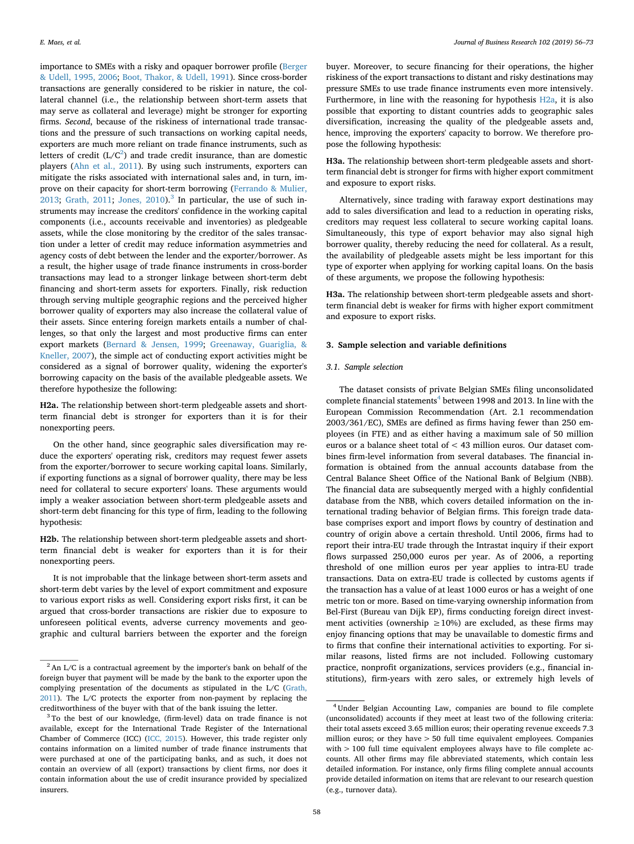importance to SMEs with a risky and opaquer borrower profile ([Berger](#page-16-2) [& Udell, 1995, 2006](#page-16-2); [Boot, Thakor, & Udell, 1991](#page-17-16)). Since cross-border transactions are generally considered to be riskier in nature, the collateral channel (i.e., the relationship between short-term assets that may serve as collateral and leverage) might be stronger for exporting firms. *Second*, because of the riskiness of international trade transactions and the pressure of such transactions on working capital needs, exporters are much more reliant on trade finance instruments, such as letters of credit (L/C<sup>[2](#page-2-1)</sup>) and trade credit insurance, than are domestic players [\(Ahn et al., 2011\)](#page-16-1). By using such instruments, exporters can mitigate the risks associated with international sales and, in turn, improve on their capacity for short-term borrowing ([Ferrando & Mulier,](#page-17-17) [2013;](#page-17-17) [Grath, 2011](#page-17-18); [Jones, 2010\)](#page-17-19).<sup>[3](#page-2-2)</sup> In particular, the use of such instruments may increase the creditors' confidence in the working capital components (i.e., accounts receivable and inventories) as pledgeable assets, while the close monitoring by the creditor of the sales transaction under a letter of credit may reduce information asymmetries and agency costs of debt between the lender and the exporter/borrower. As a result, the higher usage of trade finance instruments in cross-border transactions may lead to a stronger linkage between short-term debt financing and short-term assets for exporters. Finally, risk reduction through serving multiple geographic regions and the perceived higher borrower quality of exporters may also increase the collateral value of their assets. Since entering foreign markets entails a number of challenges, so that only the largest and most productive firms can enter export markets ([Bernard & Jensen, 1999;](#page-17-20) [Greenaway, Guariglia, &](#page-17-21) [Kneller, 2007\)](#page-17-21), the simple act of conducting export activities might be considered as a signal of borrower quality, widening the exporter's borrowing capacity on the basis of the available pledgeable assets. We therefore hypothesize the following:

<span id="page-2-3"></span>**H2a.** The relationship between short-term pledgeable assets and shortterm financial debt is stronger for exporters than it is for their nonexporting peers.

On the other hand, since geographic sales diversification may reduce the exporters' operating risk, creditors may request fewer assets from the exporter/borrower to secure working capital loans. Similarly, if exporting functions as a signal of borrower quality, there may be less need for collateral to secure exporters' loans. These arguments would imply a weaker association between short-term pledgeable assets and short-term debt financing for this type of firm, leading to the following hypothesis:

**H2b.** The relationship between short-term pledgeable assets and shortterm financial debt is weaker for exporters than it is for their nonexporting peers.

It is not improbable that the linkage between short-term assets and short-term debt varies by the level of export commitment and exposure to various export risks as well. Considering export risks first, it can be argued that cross-border transactions are riskier due to exposure to unforeseen political events, adverse currency movements and geographic and cultural barriers between the exporter and the foreign

buyer. Moreover, to secure financing for their operations, the higher riskiness of the export transactions to distant and risky destinations may pressure SMEs to use trade finance instruments even more intensively. Furthermore, in line with the reasoning for hypothesis [H2a,](#page-2-3) it is also possible that exporting to distant countries adds to geographic sales diversification, increasing the quality of the pledgeable assets and, hence, improving the exporters' capacity to borrow. We therefore propose the following hypothesis:

<span id="page-2-5"></span>**H3a.** The relationship between short-term pledgeable assets and shortterm financial debt is stronger for firms with higher export commitment and exposure to export risks.

Alternatively, since trading with faraway export destinations may add to sales diversification and lead to a reduction in operating risks, creditors may request less collateral to secure working capital loans. Simultaneously, this type of export behavior may also signal high borrower quality, thereby reducing the need for collateral. As a result, the availability of pledgeable assets might be less important for this type of exporter when applying for working capital loans. On the basis of these arguments, we propose the following hypothesis:

**H3a.** The relationship between short-term pledgeable assets and shortterm financial debt is weaker for firms with higher export commitment and exposure to export risks.

# <span id="page-2-0"></span>**3. Sample selection and variable definitions**

#### *3.1. Sample selection*

The dataset consists of private Belgian SMEs filing unconsolidated complete financial statements<sup>[4](#page-2-4)</sup> between 1998 and 2013. In line with the European Commission Recommendation (Art. 2.1 recommendation 2003/361/EC), SMEs are defined as firms having fewer than 250 employees (in FTE) and as either having a maximum sale of 50 million euros or a balance sheet total of < 43 million euros. Our dataset combines firm-level information from several databases. The financial information is obtained from the annual accounts database from the Central Balance Sheet Office of the National Bank of Belgium (NBB). The financial data are subsequently merged with a highly confidential database from the NBB, which covers detailed information on the international trading behavior of Belgian firms. This foreign trade database comprises export and import flows by country of destination and country of origin above a certain threshold. Until 2006, firms had to report their intra-EU trade through the Intrastat inquiry if their export flows surpassed 250,000 euros per year. As of 2006, a reporting threshold of one million euros per year applies to intra-EU trade transactions. Data on extra-EU trade is collected by customs agents if the transaction has a value of at least 1000 euros or has a weight of one metric ton or more. Based on time-varying ownership information from Bel-First (Bureau van Dijk EP), firms conducting foreign direct investment activities (ownership  $\geq$ 10%) are excluded, as these firms may enjoy financing options that may be unavailable to domestic firms and to firms that confine their international activities to exporting. For similar reasons, listed firms are not included. Following customary practice, nonprofit organizations, services providers (e.g., financial institutions), firm-years with zero sales, or extremely high levels of

<span id="page-2-1"></span> $2$ An L/C is a contractual agreement by the importer's bank on behalf of the foreign buyer that payment will be made by the bank to the exporter upon the complying presentation of the documents as stipulated in the L/C ([Grath,](#page-17-18) [2011\)](#page-17-18). The L/C protects the exporter from non-payment by replacing the creditworthiness of the buyer with that of the bank issuing the letter.

<span id="page-2-2"></span><sup>&</sup>lt;sup>3</sup> To the best of our knowledge, (firm-level) data on trade finance is not available, except for the International Trade Register of the International Chamber of Commerce (ICC) ([ICC, 2015](#page-17-22)). However, this trade register only contains information on a limited number of trade finance instruments that were purchased at one of the participating banks, and as such, it does not contain an overview of all (export) transactions by client firms, nor does it contain information about the use of credit insurance provided by specialized insurers.

<span id="page-2-4"></span><sup>4</sup> Under Belgian Accounting Law, companies are bound to file complete (unconsolidated) accounts if they meet at least two of the following criteria: their total assets exceed 3.65 million euros; their operating revenue exceeds 7.3 million euros; or they have > 50 full time equivalent employees. Companies with > 100 full time equivalent employees always have to file complete accounts. All other firms may file abbreviated statements, which contain less detailed information. For instance, only firms filing complete annual accounts provide detailed information on items that are relevant to our research question (e.g., turnover data).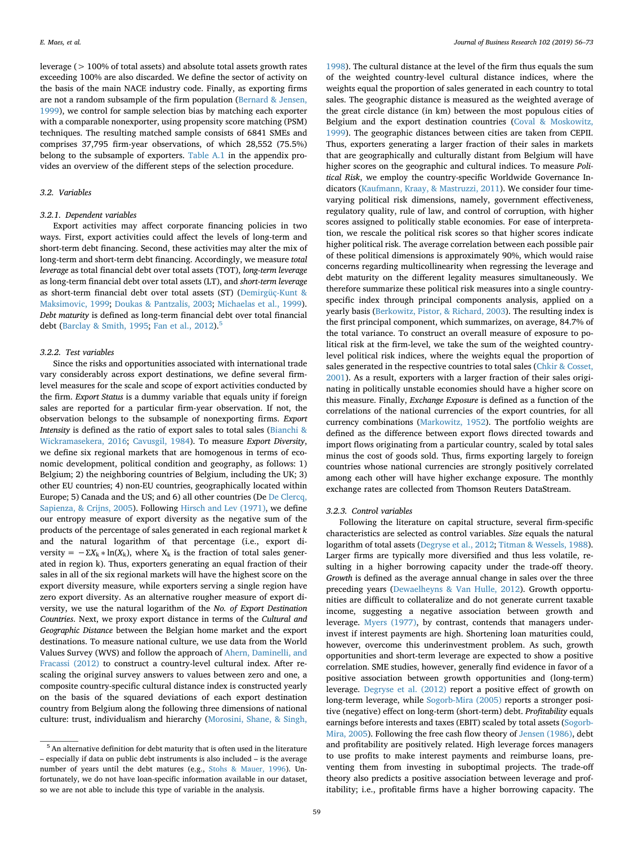leverage (> 100% of total assets) and absolute total assets growth rates exceeding 100% are also discarded. We define the sector of activity on the basis of the main NACE industry code. Finally, as exporting firms are not a random subsample of the firm population [\(Bernard & Jensen,](#page-17-20) [1999\)](#page-17-20), we control for sample selection bias by matching each exporter with a comparable nonexporter, using propensity score matching (PSM) techniques. The resulting matched sample consists of 6841 SMEs and comprises 37,795 firm-year observations, of which 28,552 (75.5%) belong to the subsample of exporters. [Table A.1](#page-15-0) in the appendix provides an overview of the different steps of the selection procedure.

# *3.2. Variables*

# *3.2.1. Dependent variables*

Export activities may affect corporate financing policies in two ways. First, export activities could affect the levels of long-term and short-term debt financing. Second, these activities may alter the mix of long-term and short-term debt financing. Accordingly, we measure *total leverage* as total financial debt over total assets (TOT), *long-term leverage* as long-term financial debt over total assets (LT), and *short-term leverage* as short-term financial debt over total assets (ST) ([Demirgüç-Kunt &](#page-17-2) [Maksimovic, 1999;](#page-17-2) [Doukas & Pantzalis, 2003](#page-17-5); [Michaelas et al., 1999](#page-17-12)). *Debt maturity* is defined as long-term financial debt over total financial debt ([Barclay & Smith, 1995;](#page-16-0) [Fan et al., 2012\)](#page-17-3).<sup>[5](#page-3-0)</sup>

### *3.2.2. Test variables*

Since the risks and opportunities associated with international trade vary considerably across export destinations, we define several firmlevel measures for the scale and scope of export activities conducted by the firm. *Export Status* is a dummy variable that equals unity if foreign sales are reported for a particular firm-year observation. If not, the observation belongs to the subsample of nonexporting firms. *Export Intensity* is defined as the ratio of export sales to total sales ([Bianchi &](#page-17-23) [Wickramasekera, 2016](#page-17-23); [Cavusgil, 1984](#page-17-24)). To measure *Export Diversity*, we define six regional markets that are homogenous in terms of economic development, political condition and geography, as follows: 1) Belgium; 2) the neighboring countries of Belgium, including the UK; 3) other EU countries; 4) non-EU countries, geographically located within Europe; 5) Canada and the US; and 6) all other countries (De [De Clercq,](#page-17-25) [Sapienza, & Crijns, 2005\)](#page-17-25). Following [Hirsch and Lev \(1971\),](#page-17-26) we define our entropy measure of export diversity as the negative sum of the products of the percentage of sales generated in each regional market *k* and the natural logarithm of that percentage (i.e., export diversity =  $-\Sigma X_k * \ln(X_k)$ , where  $X_k$  is the fraction of total sales generated in region k). Thus, exporters generating an equal fraction of their sales in all of the six regional markets will have the highest score on the export diversity measure, while exporters serving a single region have zero export diversity. As an alternative rougher measure of export diversity, we use the natural logarithm of the *No. of Export Destination Countries*. Next, we proxy export distance in terms of the *Cultural and Geographic Distance* between the Belgian home market and the export destinations. To measure national culture, we use data from the World Values Survey (WVS) and follow the approach of [Ahern, Daminelli, and](#page-16-3) [Fracassi \(2012\)](#page-16-3) to construct a country-level cultural index. After rescaling the original survey answers to values between zero and one, a composite country-specific cultural distance index is constructed yearly on the basis of the squared deviations of each export destination country from Belgium along the following three dimensions of national culture: trust, individualism and hierarchy [\(Morosini, Shane, & Singh,](#page-17-27)

[1998\)](#page-17-27). The cultural distance at the level of the firm thus equals the sum of the weighted country-level cultural distance indices, where the weights equal the proportion of sales generated in each country to total sales. The geographic distance is measured as the weighted average of the great circle distance (in km) between the most populous cities of Belgium and the export destination countries [\(Coval & Moskowitz,](#page-17-28) [1999\)](#page-17-28). The geographic distances between cities are taken from CEPII. Thus, exporters generating a larger fraction of their sales in markets that are geographically and culturally distant from Belgium will have higher scores on the geographic and cultural indices. To measure *Political Risk*, we employ the country-specific Worldwide Governance Indicators ([Kaufmann, Kraay, & Mastruzzi, 2011\)](#page-17-29). We consider four timevarying political risk dimensions, namely, government effectiveness, regulatory quality, rule of law, and control of corruption, with higher scores assigned to politically stable economies. For ease of interpretation, we rescale the political risk scores so that higher scores indicate higher political risk. The average correlation between each possible pair of these political dimensions is approximately 90%, which would raise concerns regarding multicollinearity when regressing the leverage and debt maturity on the different legality measures simultaneously. We therefore summarize these political risk measures into a single countryspecific index through principal components analysis, applied on a yearly basis ([Berkowitz, Pistor, & Richard, 2003\)](#page-16-4). The resulting index is the first principal component, which summarizes, on average, 84.7% of the total variance. To construct an overall measure of exposure to political risk at the firm-level, we take the sum of the weighted countrylevel political risk indices, where the weights equal the proportion of sales generated in the respective countries to total sales [\(Chkir & Cosset,](#page-17-30) [2001\)](#page-17-30). As a result, exporters with a larger fraction of their sales originating in politically unstable economies should have a higher score on this measure. Finally, *Exchange Exposure* is defined as a function of the correlations of the national currencies of the export countries, for all currency combinations ([Markowitz, 1952](#page-17-31)). The portfolio weights are defined as the difference between export flows directed towards and import flows originating from a particular country, scaled by total sales minus the cost of goods sold. Thus, firms exporting largely to foreign countries whose national currencies are strongly positively correlated among each other will have higher exchange exposure. The monthly exchange rates are collected from Thomson Reuters DataStream.

#### *3.2.3. Control variables*

Following the literature on capital structure, several firm-specific characteristics are selected as control variables. *Size* equals the natural logarithm of total assets [\(Degryse et al., 2012](#page-17-11); [Titman & Wessels, 1988](#page-17-1)). Larger firms are typically more diversified and thus less volatile, resulting in a higher borrowing capacity under the trade-off theory. *Growth* is defined as the average annual change in sales over the three preceding years ([Dewaelheyns & Van Hulle, 2012\)](#page-17-32). Growth opportunities are difficult to collateralize and do not generate current taxable income, suggesting a negative association between growth and leverage. [Myers \(1977\)](#page-17-7), by contrast, contends that managers underinvest if interest payments are high. Shortening loan maturities could, however, overcome this underinvestment problem. As such, growth opportunities and short-term leverage are expected to show a positive correlation. SME studies, however, generally find evidence in favor of a positive association between growth opportunities and (long-term) leverage. [Degryse et al. \(2012\)](#page-17-11) report a positive effect of growth on long-term leverage, while [Sogorb-Mira \(2005\)](#page-17-33) reports a stronger positive (negative) effect on long-term (short-term) debt. *Profitability* equals earnings before interests and taxes (EBIT) scaled by total assets ([Sogorb-](#page-17-33)[Mira, 2005](#page-17-33)). Following the free cash flow theory of [Jensen \(1986\),](#page-17-34) debt and profitability are positively related. High leverage forces managers to use profits to make interest payments and reimburse loans, preventing them from investing in suboptimal projects. The trade-off theory also predicts a positive association between leverage and profitability; i.e., profitable firms have a higher borrowing capacity. The

<span id="page-3-0"></span> $5$  An alternative definition for debt maturity that is often used in the literature – especially if data on public debt instruments is also included – is the average number of years until the debt matures (e.g., [Stohs & Mauer, 1996\)](#page-17-35). Unfortunately, we do not have loan-specific information available in our dataset, so we are not able to include this type of variable in the analysis.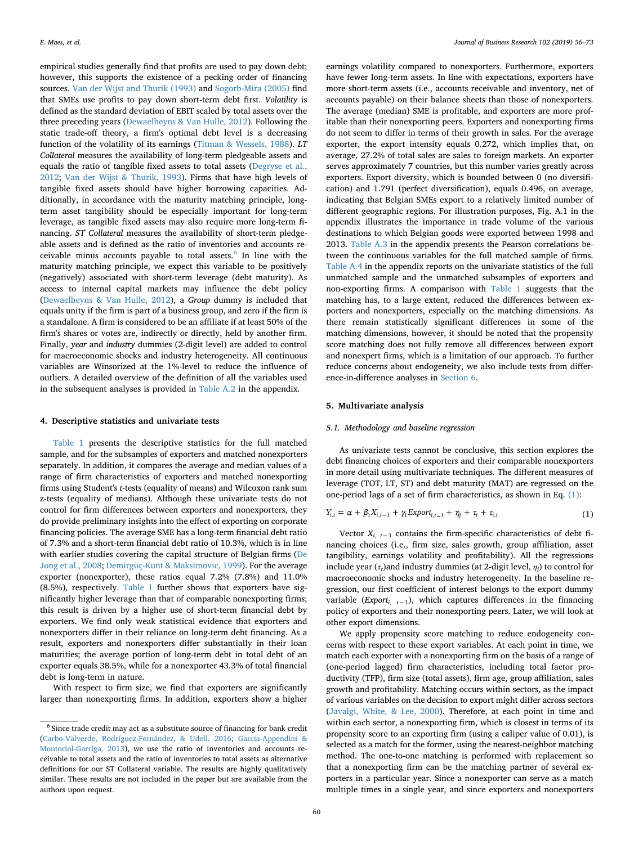empirical studies generally find that profits are used to pay down debt; however, this supports the existence of a pecking order of financing sources. [Van der Wijst and Thurik \(1993\)](#page-17-13) and [Sogorb-Mira \(2005\)](#page-17-33) find that SMEs use profits to pay down short-term debt first. *Volatility* is defined as the standard deviation of EBIT scaled by total assets over the three preceding years ([Dewaelheyns & Van Hulle, 2012\)](#page-17-32). Following the static trade-off theory, a firm's optimal debt level is a decreasing function of the volatility of its earnings [\(Titman & Wessels, 1988\)](#page-17-1). *LT Collateral* measures the availability of long-term pledgeable assets and equals the ratio of tangible fixed assets to total assets [\(Degryse et al.,](#page-17-11) [2012;](#page-17-11) [Van der Wijst & Thurik, 1993](#page-17-13)). Firms that have high levels of tangible fixed assets should have higher borrowing capacities. Additionally, in accordance with the maturity matching principle, longterm asset tangibility should be especially important for long-term leverage, as tangible fixed assets may also require more long-term financing. *ST Collateral* measures the availability of short-term pledgeable assets and is defined as the ratio of inventories and accounts re-ceivable minus accounts payable to total assets.<sup>[6](#page-4-2)</sup> In line with the maturity matching principle, we expect this variable to be positively (negatively) associated with short-term leverage (debt maturity). As access to internal capital markets may influence the debt policy ([Dewaelheyns & Van Hulle, 2012](#page-17-32)), a *Group* dummy is included that equals unity if the firm is part of a business group, and zero if the firm is a standalone. A firm is considered to be an affiliate if at least 50% of the firm's shares or votes are, indirectly or directly, held by another firm. Finally, *year* and *industry* dummies (2-digit level) are added to control for macroeconomic shocks and industry heterogeneity. All continuous variables are Winsorized at the 1%-level to reduce the influence of outliers. A detailed overview of the definition of all the variables used in the subsequent analyses is provided in [Table A.2](#page-15-1) in the appendix.

#### <span id="page-4-0"></span>**4. Descriptive statistics and univariate tests**

[Table 1](#page-5-0) presents the descriptive statistics for the full matched sample, and for the subsamples of exporters and matched nonexporters separately. In addition, it compares the average and median values of a range of firm characteristics of exporters and matched nonexporting firms using Student's *t*-tests (equality of means) and Wilcoxon rank sum z-tests (equality of medians). Although these univariate tests do not control for firm differences between exporters and nonexporters, they do provide preliminary insights into the effect of exporting on corporate financing policies. The average SME has a long-term financial debt ratio of 7.3% and a short-term financial debt ratio of 10.3%, which is in line with earlier studies covering the capital structure of Belgian firms [\(De](#page-17-0) [Jong et al., 2008;](#page-17-0) [Demirgüç-Kunt & Maksimovic, 1999](#page-17-2)). For the average exporter (nonexporter), these ratios equal 7.2% (7.8%) and 11.0% (8.5%), respectively. [Table 1](#page-5-0) further shows that exporters have significantly higher leverage than that of comparable nonexporting firms; this result is driven by a higher use of short-term financial debt by exporters. We find only weak statistical evidence that exporters and nonexporters differ in their reliance on long-term debt financing. As a result, exporters and nonexporters differ substantially in their loan maturities; the average portion of long-term debt in total debt of an exporter equals 38.5%, while for a nonexporter 43.3% of total financial debt is long-term in nature.

With respect to firm size, we find that exporters are significantly larger than nonexporting firms. In addition, exporters show a higher

earnings volatility compared to nonexporters. Furthermore, exporters have fewer long-term assets. In line with expectations, exporters have more short-term assets (i.e., accounts receivable and inventory, net of accounts payable) on their balance sheets than those of nonexporters. The average (median) SME is profitable, and exporters are more profitable than their nonexporting peers. Exporters and nonexporting firms do not seem to differ in terms of their growth in sales. For the average exporter, the export intensity equals 0.272, which implies that, on average, 27.2% of total sales are sales to foreign markets. An exporter serves approximately 7 countries, but this number varies greatly across exporters. Export diversity, which is bounded between 0 (no diversification) and 1.791 (perfect diversification), equals 0.496, on average, indicating that Belgian SMEs export to a relatively limited number of different geographic regions. For illustration purposes, Fig. A.1 in the appendix illustrates the importance in trade volume of the various destinations to which Belgian goods were exported between 1998 and 2013. [Table A.3](#page-15-2) in the appendix presents the Pearson correlations between the continuous variables for the full matched sample of firms. [Table A.4](#page-16-5) in the appendix reports on the univariate statistics of the full unmatched sample and the unmatched subsamples of exporters and non-exporting firms. A comparison with [Table 1](#page-5-0) suggests that the matching has, to a large extent, reduced the differences between exporters and nonexporters, especially on the matching dimensions. As there remain statistically significant differences in some of the matching dimensions, however, it should be noted that the propensity score matching does not fully remove all differences between export and nonexpert firms, which is a limitation of our approach. To further reduce concerns about endogeneity, we also include tests from difference-in-difference analyses in [Section 6](#page-7-0).

# <span id="page-4-1"></span>**5. Multivariate analysis**

#### *5.1. Methodology and baseline regression*

As univariate tests cannot be conclusive, this section explores the debt financing choices of exporters and their comparable nonexporters in more detail using multivariate techniques. The different measures of leverage (TOT, LT, ST) and debt maturity (MAT) are regressed on the one-period lags of a set of firm characteristics, as shown in Eq. [\(1\)](#page-4-3):

<span id="page-4-3"></span>
$$
Y_{i,t} = \alpha + \beta_1 X_{i,t-1} + \gamma_1 Export_{i,t-1} + \eta_j + \tau_t + \varepsilon_{i,t}
$$
\n
$$
\tag{1}
$$

Vector  $X_{i,t-1}$  contains the firm-specific characteristics of debt financing choices (i.e., firm size, sales growth, group affiliation, asset tangibility, earnings volatility and profitability). All the regressions include year ( $\tau$ <sub>*t*</sub>)and industry dummies (at 2-digit level,  $\eta$ <sub>*j*</sub>) to control for macroeconomic shocks and industry heterogeneity. In the baseline regression, our first coefficient of interest belongs to the export dummy variable (*Export<sub>i, t</sub>*−1), which captures differences in the financing policy of exporters and their nonexporting peers. Later, we will look at other export dimensions.

We apply propensity score matching to reduce endogeneity concerns with respect to these export variables. At each point in time, we match each exporter with a nonexporting firm on the basis of a range of (one-period lagged) firm characteristics, including total factor productivity (TFP), firm size (total assets), firm age, group affiliation, sales growth and profitability. Matching occurs within sectors, as the impact of various variables on the decision to export might differ across sectors ([Javalgi, White, & Lee, 2000\)](#page-17-36). Therefore, at each point in time and within each sector, a nonexporting firm, which is closest in terms of its propensity score to an exporting firm (using a caliper value of 0.01), is selected as a match for the former, using the nearest-neighbor matching method. The one-to-one matching is performed with replacement so that a nonexporting firm can be the matching partner of several exporters in a particular year. Since a nonexporter can serve as a match multiple times in a single year, and since exporters and nonexporters

<span id="page-4-2"></span> $^6$  Since trade credit may act as a substitute source of financing for bank credit [\(Carbo-Valverde, Rodríguez-Fernández, & Udell, 2016;](#page-17-37) [Garcia-Appendini &](#page-17-38) [Montoriol-Garriga, 2013](#page-17-38)), we use the ratio of inventories and accounts receivable to total assets and the ratio of inventories to total assets as alternative definitions for our ST Collateral variable. The results are highly qualitatively similar. These results are not included in the paper but are available from the authors upon request.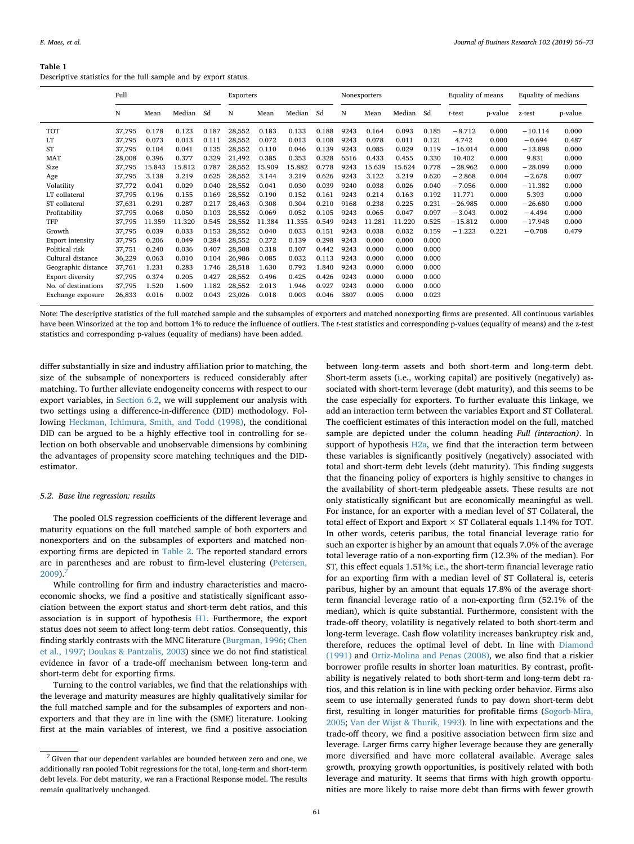#### <span id="page-5-0"></span>**Table 1**

Descriptive statistics for the full sample and by export status.

|                         | Full   |        |        |       | Exporters |        |        |       |      | Nonexporters |        |       | Equality of means |         | Equality of medians |         |
|-------------------------|--------|--------|--------|-------|-----------|--------|--------|-------|------|--------------|--------|-------|-------------------|---------|---------------------|---------|
|                         | N      | Mean   | Median | Sd    | N         | Mean   | Median | Sd    | N    | Mean         | Median | Sd    | t-test            | p-value | z-test              | p-value |
| <b>TOT</b>              | 37,795 | 0.178  | 0.123  | 0.187 | 28,552    | 0.183  | 0.133  | 0.188 | 9243 | 0.164        | 0.093  | 0.185 | $-8.712$          | 0.000   | $-10.114$           | 0.000   |
| LT                      | 37,795 | 0.073  | 0.013  | 0.111 | 28,552    | 0.072  | 0.013  | 0.108 | 9243 | 0.078        | 0.011  | 0.121 | 4.742             | 0.000   | $-0.694$            | 0.487   |
| <b>ST</b>               | 37,795 | 0.104  | 0.041  | 0.135 | 28,552    | 0.110  | 0.046  | 0.139 | 9243 | 0.085        | 0.029  | 0.119 | $-16.014$         | 0.000   | $-13.898$           | 0.000   |
| <b>MAT</b>              | 28,008 | 0.396  | 0.377  | 0.329 | 21,492    | 0.385  | 0.353  | 0.328 | 6516 | 0.433        | 0.455  | 0.330 | 10.402            | 0.000   | 9.831               | 0.000   |
| Size                    | 37,795 | 15.843 | 15.812 | 0.787 | 28,552    | 15.909 | 15.882 | 0.778 | 9243 | 15.639       | 15.624 | 0.778 | $-28.962$         | 0.000   | $-28.099$           | 0.000   |
| Age                     | 37,795 | 3.138  | 3.219  | 0.625 | 28,552    | 3.144  | 3.219  | 0.626 | 9243 | 3.122        | 3.219  | 0.620 | $-2.868$          | 0.004   | $-2.678$            | 0.007   |
| Volatility              | 37,772 | 0.041  | 0.029  | 0.040 | 28,552    | 0.041  | 0.030  | 0.039 | 9240 | 0.038        | 0.026  | 0.040 | $-7.056$          | 0.000   | $-11.382$           | 0.000   |
| LT collateral           | 37,795 | 0.196  | 0.155  | 0.169 | 28,552    | 0.190  | 0.152  | 0.161 | 9243 | 0.214        | 0.163  | 0.192 | 11.771            | 0.000   | 5.393               | 0.000   |
| ST collateral           | 37,631 | 0.291  | 0.287  | 0.217 | 28,463    | 0.308  | 0.304  | 0.210 | 9168 | 0.238        | 0.225  | 0.231 | $-26.985$         | 0.000   | $-26.680$           | 0.000   |
| Profitability           | 37,795 | 0.068  | 0.050  | 0.103 | 28,552    | 0.069  | 0.052  | 0.105 | 9243 | 0.065        | 0.047  | 0.097 | $-3.043$          | 0.002   | $-4.494$            | 0.000   |
| <b>TFP</b>              | 37,795 | 11.359 | 11.320 | 0.545 | 28,552    | 11.384 | 11.355 | 0.549 | 9243 | 11.281       | 11.220 | 0.525 | $-15.812$         | 0.000   | $-17.948$           | 0.000   |
| Growth                  | 37,795 | 0.039  | 0.033  | 0.153 | 28,552    | 0.040  | 0.033  | 0.151 | 9243 | 0.038        | 0.032  | 0.159 | $-1.223$          | 0.221   | $-0.708$            | 0.479   |
| <b>Export intensity</b> | 37,795 | 0.206  | 0.049  | 0.284 | 28,552    | 0.272  | 0.139  | 0.298 | 9243 | 0.000        | 0.000  | 0.000 |                   |         |                     |         |
| Political risk          | 37,751 | 0.240  | 0.036  | 0.407 | 28,508    | 0.318  | 0.107  | 0.442 | 9243 | 0.000        | 0.000  | 0.000 |                   |         |                     |         |
| Cultural distance       | 36,229 | 0.063  | 0.010  | 0.104 | 26,986    | 0.085  | 0.032  | 0.113 | 9243 | 0.000        | 0.000  | 0.000 |                   |         |                     |         |
| Geographic distance     | 37,761 | 1.231  | 0.283  | 1.746 | 28,518    | 1.630  | 0.792  | 1.840 | 9243 | 0.000        | 0.000  | 0.000 |                   |         |                     |         |
| Export diversity        | 37,795 | 0.374  | 0.205  | 0.427 | 28,552    | 0.496  | 0.425  | 0.426 | 9243 | 0.000        | 0.000  | 0.000 |                   |         |                     |         |
| No. of destinations     | 37,795 | 1.520  | 1.609  | 1.182 | 28,552    | 2.013  | 1.946  | 0.927 | 9243 | 0.000        | 0.000  | 0.000 |                   |         |                     |         |
| Exchange exposure       | 26,833 | 0.016  | 0.002  | 0.043 | 23,026    | 0.018  | 0.003  | 0.046 | 3807 | 0.005        | 0.000  | 0.023 |                   |         |                     |         |

Note: The descriptive statistics of the full matched sample and the subsamples of exporters and matched nonexporting firms are presented. All continuous variables have been Winsorized at the top and bottom 1% to reduce the influence of outliers. The *t*-test statistics and corresponding p-values (equality of means) and the z-test statistics and corresponding p-values (equality of medians) have been added.

differ substantially in size and industry affiliation prior to matching, the size of the subsample of nonexporters is reduced considerably after matching. To further alleviate endogeneity concerns with respect to our export variables, in [Section 6.2](#page-11-0), we will supplement our analysis with two settings using a difference-in-difference (DID) methodology. Following [Heckman, Ichimura, Smith, and Todd \(1998\),](#page-17-39) the conditional DID can be argued to be a highly effective tool in controlling for selection on both observable and unobservable dimensions by combining the advantages of propensity score matching techniques and the DIDestimator.

### *5.2. Base line regression: results*

The pooled OLS regression coefficients of the different leverage and maturity equations on the full matched sample of both exporters and nonexporters and on the subsamples of exporters and matched nonexporting firms are depicted in [Table 2.](#page-6-0) The reported standard errors are in parentheses and are robust to firm-level clustering ([Petersen,](#page-17-40)  $2009$ 

While controlling for firm and industry characteristics and macroeconomic shocks, we find a positive and statistically significant association between the export status and short-term debt ratios, and this association is in support of hypothesis [H1](#page-1-1). Furthermore, the export status does not seem to affect long-term debt ratios. Consequently, this finding starkly contrasts with the MNC literature [\(Burgman, 1996;](#page-17-4) [Chen](#page-17-10) [et al., 1997](#page-17-10); [Doukas & Pantzalis, 2003](#page-17-5)) since we do not find statistical evidence in favor of a trade-off mechanism between long-term and short-term debt for exporting firms.

Turning to the control variables, we find that the relationships with the leverage and maturity measures are highly qualitatively similar for the full matched sample and for the subsamples of exporters and nonexporters and that they are in line with the (SME) literature. Looking first at the main variables of interest, we find a positive association between long-term assets and both short-term and long-term debt. Short-term assets (i.e., working capital) are positively (negatively) associated with short-term leverage (debt maturity), and this seems to be the case especially for exporters. To further evaluate this linkage, we add an interaction term between the variables Export and ST Collateral. The coefficient estimates of this interaction model on the full, matched sample are depicted under the column heading *Full (interaction)*. In support of hypothesis  $H2a$ , we find that the interaction term between these variables is significantly positively (negatively) associated with total and short-term debt levels (debt maturity). This finding suggests that the financing policy of exporters is highly sensitive to changes in the availability of short-term pledgeable assets. These results are not only statistically significant but are economically meaningful as well. For instance, for an exporter with a median level of ST Collateral, the total effect of Export and Export  $\times$  ST Collateral equals 1.14% for TOT. In other words, ceteris paribus, the total financial leverage ratio for such an exporter is higher by an amount that equals 7.0% of the average total leverage ratio of a non-exporting firm (12.3% of the median). For ST, this effect equals 1.51%; i.e., the short-term financial leverage ratio for an exporting firm with a median level of ST Collateral is, ceteris paribus, higher by an amount that equals 17.8% of the average shortterm financial leverage ratio of a non-exporting firm (52.1% of the median), which is quite substantial. Furthermore, consistent with the trade-off theory, volatility is negatively related to both short-term and long-term leverage. Cash flow volatility increases bankruptcy risk and, therefore, reduces the optimal level of debt. In line with [Diamond](#page-17-41) [\(1991\)](#page-17-41) and [Ortiz-Molina and Penas \(2008\),](#page-17-8) we also find that a riskier borrower profile results in shorter loan maturities. By contrast, profitability is negatively related to both short-term and long-term debt ratios, and this relation is in line with pecking order behavior. Firms also seem to use internally generated funds to pay down short-term debt first, resulting in longer maturities for profitable firms ([Sogorb-Mira,](#page-17-33) [2005;](#page-17-33) [Van der Wijst & Thurik, 1993\)](#page-17-13). In line with expectations and the trade-off theory, we find a positive association between firm size and leverage. Larger firms carry higher leverage because they are generally more diversified and have more collateral available. Average sales growth, proxying growth opportunities, is positively related with both leverage and maturity. It seems that firms with high growth opportunities are more likely to raise more debt than firms with fewer growth

<span id="page-5-1"></span> $^7$  Given that our dependent variables are bounded between zero and one, we additionally ran pooled Tobit regressions for the total, long-term and short-term debt levels. For debt maturity, we ran a Fractional Response model. The results remain qualitatively unchanged.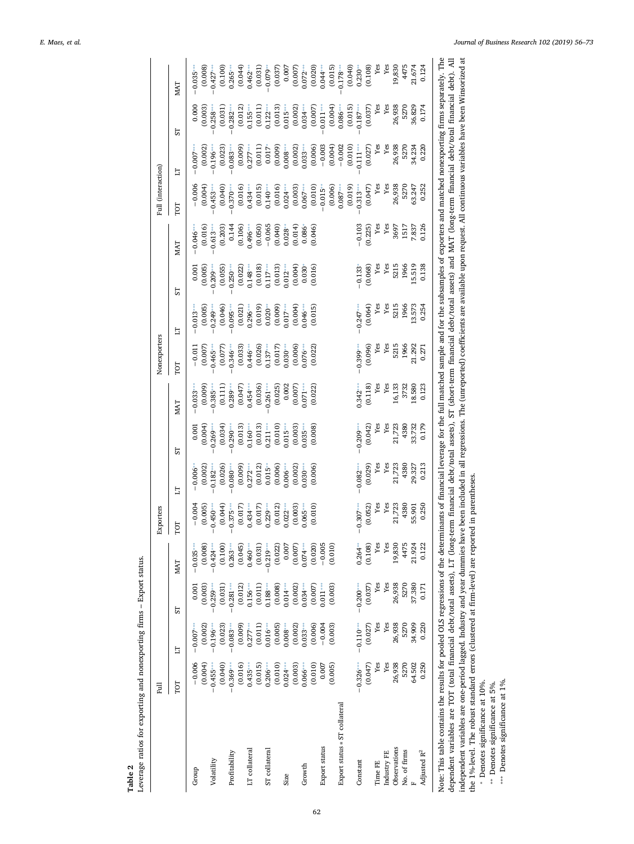*E. Maes, et al. Journal of Business Research 102 (2019) 56–73*

| į                        |
|--------------------------|
| $\overline{1}$           |
| Ë                        |
| <b>Cartical</b>          |
|                          |
| tor evnorting and nonevn |
|                          |
| $5 + 10$                 |
| ٠<br>S                   |

<span id="page-6-0"></span>

|                                                                                | Full                    |             |                                      |                       | Exporters                                                                                             |                                                                                                                                             |                                                                                                                                      |                                                                                                                                                                            | Nonexporters                                                                                                                                                          |                                                                                                                                                                                                                                                                                              |                                                                                                                                                                         |                                                               | Full (interaction)                                                                                                                                                  |                                                                                                                                                                                                                                                                                                                 |                                                                                                                                                                                                                                                                                                                                      |                                                                                                                                                                                                                                                                                                                            |
|--------------------------------------------------------------------------------|-------------------------|-------------|--------------------------------------|-----------------------|-------------------------------------------------------------------------------------------------------|---------------------------------------------------------------------------------------------------------------------------------------------|--------------------------------------------------------------------------------------------------------------------------------------|----------------------------------------------------------------------------------------------------------------------------------------------------------------------------|-----------------------------------------------------------------------------------------------------------------------------------------------------------------------|----------------------------------------------------------------------------------------------------------------------------------------------------------------------------------------------------------------------------------------------------------------------------------------------|-------------------------------------------------------------------------------------------------------------------------------------------------------------------------|---------------------------------------------------------------|---------------------------------------------------------------------------------------------------------------------------------------------------------------------|-----------------------------------------------------------------------------------------------------------------------------------------------------------------------------------------------------------------------------------------------------------------------------------------------------------------|--------------------------------------------------------------------------------------------------------------------------------------------------------------------------------------------------------------------------------------------------------------------------------------------------------------------------------------|----------------------------------------------------------------------------------------------------------------------------------------------------------------------------------------------------------------------------------------------------------------------------------------------------------------------------|
|                                                                                | <b>FOT</b>              | 5           | 57                                   | MAT                   | 5C                                                                                                    | E                                                                                                                                           | 55                                                                                                                                   | MAT                                                                                                                                                                        | ГOТ                                                                                                                                                                   | 5                                                                                                                                                                                                                                                                                            | 55                                                                                                                                                                      | MAT                                                           | TOT                                                                                                                                                                 | 5                                                                                                                                                                                                                                                                                                               | 55                                                                                                                                                                                                                                                                                                                                   | MAT                                                                                                                                                                                                                                                                                                                        |
| Group                                                                          | $-0.006$                | $-0.007$    | 0.001                                | $-0.035***$           |                                                                                                       | $-0.006$                                                                                                                                    | 0.00                                                                                                                                 | $-0.033$                                                                                                                                                                   | $-0.01$                                                                                                                                                               | $0.013*$                                                                                                                                                                                                                                                                                     | 0.00                                                                                                                                                                    | $-0.046$ *                                                    | $-0.006$                                                                                                                                                            | $-0.007$                                                                                                                                                                                                                                                                                                        | 0.000                                                                                                                                                                                                                                                                                                                                | $0.035***$                                                                                                                                                                                                                                                                                                                 |
|                                                                                | (0.004)                 | (0.002)     | (0.003)                              | (0.008)               | $-0.004$<br>(0.005)                                                                                   |                                                                                                                                             | (0.004)                                                                                                                              |                                                                                                                                                                            | (0.007)                                                                                                                                                               |                                                                                                                                                                                                                                                                                              |                                                                                                                                                                         |                                                               | (0.004)                                                                                                                                                             |                                                                                                                                                                                                                                                                                                                 |                                                                                                                                                                                                                                                                                                                                      |                                                                                                                                                                                                                                                                                                                            |
| Volatility                                                                     | $-0.455***$             | $0.196***$  | $0.259***$                           | $0.424***$            | $0.450***$                                                                                            | (0.002)                                                                                                                                     | $0.269***$                                                                                                                           |                                                                                                                                                                            | $0.465***$                                                                                                                                                            |                                                                                                                                                                                                                                                                                              | (0.005)                                                                                                                                                                 | $(0.016)$<br>$0.613***$                                       | $0.453***$                                                                                                                                                          | (0.002)                                                                                                                                                                                                                                                                                                         | $\frac{(0.003)}{0.258}$                                                                                                                                                                                                                                                                                                              | $(0.008)$<br>$-0.427$                                                                                                                                                                                                                                                                                                      |
|                                                                                | (0.040)                 | (0.023)     | (0.031)                              | (0.100)               |                                                                                                       | (0.026)                                                                                                                                     |                                                                                                                                      |                                                                                                                                                                            |                                                                                                                                                                       |                                                                                                                                                                                                                                                                                              |                                                                                                                                                                         |                                                               | (0.040)                                                                                                                                                             | (0.023)                                                                                                                                                                                                                                                                                                         |                                                                                                                                                                                                                                                                                                                                      |                                                                                                                                                                                                                                                                                                                            |
| Profitability                                                                  | $-0.369$                | $0.083***$  | $0.281***$                           | $0.263***$            | $(0.044)$<br>$0.375$                                                                                  |                                                                                                                                             | $(0.034)$<br>$0.290$                                                                                                                 | $\begin{array}{l} (0.009)\\ (0.009)\\ (0.111)\\ (0.28)\\ (0.047)\\ (0.047)\\ (0.046)\\ (0.036)\\ (0.005)\\ (0.0025)\\ (0.007)\\ (0.007)\\ (0.007)\\ (0.007)\\ \end{array}$ | $\begin{array}{c} (0.077) \\ -0.346^{***} \\ (0.033) \\ 0.446^{***} \\ (0.026) \\ (0.026) \\ (0.017) \\ (0.017) \\ (0.017) \\ (0.018) \\ (0.030^{***} \\ \end{array}$ | $\begin{array}{l} (0.005)\\ -0.249\\ (0.046)\\ (0.046)\\ (0.021)\\ (0.021)\\ (0.019)\\ (0.019)\\ (0.000)\\ (0.000)\\ (0.000)\\ (0.004)\\ (0.004)\\ (0.004)\\ (0.004)\\ (0.004)\\ (0.005)\\ (0.005)\\ (0.004)\\ (0.005)\\ (0.004)\\ (0.005)\\ (0.004)\\ (0.005)\\ (0.004)\\ (0.005)\\ (0.005$ | $\begin{array}{c} (0.055) \\ -0.250^{***} \\ (0.022) \\ 0.148^{***} \\ (0.018) \\ (0.011) \\ (0.013) \\ (0.012^{***} \\ (0.004) \\ (0.004) \\ (0.005)^{**} \end{array}$ | $\begin{array}{c} (0.203) \\ 0.144 \\ (0.106) \end{array}$    |                                                                                                                                                                     |                                                                                                                                                                                                                                                                                                                 | $\frac{(0.031)}{0.282}$                                                                                                                                                                                                                                                                                                              | $(0.100)$<br>$0.265$                                                                                                                                                                                                                                                                                                       |
|                                                                                | (0.016)                 | (0.009)     | (0.012)                              | (0.045)               | (0.017)                                                                                               | $(0.009)$<br>$0.272***$<br>$(0.012)$<br>$0.015***$<br>$0.006$<br>$0.006***$                                                                 | $\begin{array}{c} (0.013) \\ 0.160^{***} \\ (0.013) \\ 0.211^{***} \\ (0.010) \\ (0.015^{***} \\ 0.015^{***} \\ (0.003) \end{array}$ |                                                                                                                                                                            |                                                                                                                                                                       |                                                                                                                                                                                                                                                                                              |                                                                                                                                                                         |                                                               | (0.016)                                                                                                                                                             | (0.009)                                                                                                                                                                                                                                                                                                         |                                                                                                                                                                                                                                                                                                                                      |                                                                                                                                                                                                                                                                                                                            |
| LT collateral                                                                  | $0.435***$              | $0.277***$  | $0.156***$                           | $0.460***$            | $0.434***$                                                                                            |                                                                                                                                             |                                                                                                                                      |                                                                                                                                                                            |                                                                                                                                                                       |                                                                                                                                                                                                                                                                                              |                                                                                                                                                                         |                                                               |                                                                                                                                                                     |                                                                                                                                                                                                                                                                                                                 |                                                                                                                                                                                                                                                                                                                                      |                                                                                                                                                                                                                                                                                                                            |
|                                                                                | $(0.015)$<br>$0.206***$ | (0.011)     | $(0.011)$<br>$0.188***$              | (0.031)               |                                                                                                       |                                                                                                                                             |                                                                                                                                      |                                                                                                                                                                            |                                                                                                                                                                       |                                                                                                                                                                                                                                                                                              |                                                                                                                                                                         |                                                               |                                                                                                                                                                     |                                                                                                                                                                                                                                                                                                                 |                                                                                                                                                                                                                                                                                                                                      |                                                                                                                                                                                                                                                                                                                            |
| ST collateral                                                                  |                         | $0.016***$  |                                      | $-0.219***$           |                                                                                                       |                                                                                                                                             |                                                                                                                                      |                                                                                                                                                                            |                                                                                                                                                                       |                                                                                                                                                                                                                                                                                              |                                                                                                                                                                         |                                                               |                                                                                                                                                                     |                                                                                                                                                                                                                                                                                                                 |                                                                                                                                                                                                                                                                                                                                      |                                                                                                                                                                                                                                                                                                                            |
|                                                                                | (0.010)                 | (0.005)     |                                      | (0.022)               | $\begin{array}{l} (0.017) \ 0.229 \cdots \ 0.012) \ 0.022 \cdots \ 0.003) \ 0.065 \cdots \end{array}$ |                                                                                                                                             |                                                                                                                                      |                                                                                                                                                                            |                                                                                                                                                                       |                                                                                                                                                                                                                                                                                              |                                                                                                                                                                         | $0.496**$<br>$(0.050)$<br>$-0.065$<br>$(0.040)$<br>$(0.028**$ | $\begin{array}{r} 0.434\cdots\\ 0.015)\\ 0.140\cdots\\ 0.016)\\ 0.024\cdots\\ 0.024\cdots\\ 0.003)\\ 0.067\cdots\\ 0.010\\ 0.007\cdots\\ 0.006)\\ 0.006\end{array}$ |                                                                                                                                                                                                                                                                                                                 |                                                                                                                                                                                                                                                                                                                                      |                                                                                                                                                                                                                                                                                                                            |
| Size                                                                           | $0.024***$              | $0.008***$  |                                      | 0.007                 |                                                                                                       |                                                                                                                                             |                                                                                                                                      |                                                                                                                                                                            |                                                                                                                                                                       |                                                                                                                                                                                                                                                                                              |                                                                                                                                                                         |                                                               |                                                                                                                                                                     |                                                                                                                                                                                                                                                                                                                 |                                                                                                                                                                                                                                                                                                                                      |                                                                                                                                                                                                                                                                                                                            |
|                                                                                | (0.003)                 | (0.002)     | $(0.008)$<br>$0.014***$<br>$(0.002)$ | (0.007)               |                                                                                                       | (0.002)                                                                                                                                     |                                                                                                                                      |                                                                                                                                                                            | (0.006)                                                                                                                                                               |                                                                                                                                                                                                                                                                                              |                                                                                                                                                                         | $(0.014)$<br>$0.086$                                          |                                                                                                                                                                     |                                                                                                                                                                                                                                                                                                                 |                                                                                                                                                                                                                                                                                                                                      |                                                                                                                                                                                                                                                                                                                            |
| Growth                                                                         | $0.066***$              | $0.033***$  | $0.034***$                           | $0.074***$            |                                                                                                       | $0.030**$                                                                                                                                   | $0.035***$                                                                                                                           |                                                                                                                                                                            |                                                                                                                                                                       |                                                                                                                                                                                                                                                                                              |                                                                                                                                                                         |                                                               |                                                                                                                                                                     |                                                                                                                                                                                                                                                                                                                 |                                                                                                                                                                                                                                                                                                                                      |                                                                                                                                                                                                                                                                                                                            |
|                                                                                | (0.010)                 | (0.006)     | $(0.007)$<br>$0.011***$              | $(0.020)$<br>$-0.005$ | (0.010)                                                                                               | (0.006)                                                                                                                                     | (0.008)                                                                                                                              | (0.022)                                                                                                                                                                    | (0.022)                                                                                                                                                               | (0.015)                                                                                                                                                                                                                                                                                      | (0.016)                                                                                                                                                                 | (0.046)                                                       |                                                                                                                                                                     |                                                                                                                                                                                                                                                                                                                 |                                                                                                                                                                                                                                                                                                                                      |                                                                                                                                                                                                                                                                                                                            |
| <b>Export status</b>                                                           | 0.007                   | $-0.004$    |                                      |                       |                                                                                                       |                                                                                                                                             |                                                                                                                                      |                                                                                                                                                                            |                                                                                                                                                                       |                                                                                                                                                                                                                                                                                              |                                                                                                                                                                         |                                                               |                                                                                                                                                                     |                                                                                                                                                                                                                                                                                                                 |                                                                                                                                                                                                                                                                                                                                      |                                                                                                                                                                                                                                                                                                                            |
|                                                                                | (0.005)                 | (0.003)     | (0.003)                              | (0.010)               |                                                                                                       |                                                                                                                                             |                                                                                                                                      |                                                                                                                                                                            |                                                                                                                                                                       |                                                                                                                                                                                                                                                                                              |                                                                                                                                                                         |                                                               |                                                                                                                                                                     |                                                                                                                                                                                                                                                                                                                 |                                                                                                                                                                                                                                                                                                                                      |                                                                                                                                                                                                                                                                                                                            |
| Export status * ST collateral                                                  |                         |             |                                      |                       |                                                                                                       |                                                                                                                                             |                                                                                                                                      |                                                                                                                                                                            |                                                                                                                                                                       |                                                                                                                                                                                                                                                                                              |                                                                                                                                                                         |                                                               |                                                                                                                                                                     |                                                                                                                                                                                                                                                                                                                 |                                                                                                                                                                                                                                                                                                                                      |                                                                                                                                                                                                                                                                                                                            |
|                                                                                |                         |             |                                      |                       |                                                                                                       |                                                                                                                                             |                                                                                                                                      |                                                                                                                                                                            |                                                                                                                                                                       |                                                                                                                                                                                                                                                                                              |                                                                                                                                                                         |                                                               | $(0.019)$<br>$0.313***$                                                                                                                                             | $\begin{array}{l} \n 0.277 + \\ \n 0.0111 \\ \n 0.017 + \\ \n 0.009 \\ \n 0.008 + \\ \n 0.0002 \\ \n 0.0003 + \\ \n 0.0004 \\ \n 0.0004 \\ \n 0.0004 \\ \n 0.0004 \\ \n 0.0010 \\ \n 0.0010 \\ \n 0.011 + \\ \n 0.011 \\ \n 0.010 \\ \n 0.010 \\ \n 0.010 \\ \n 0.010 \\ \n 0.010 \\ \n 0.011 + \\ \n 0.011 \\$ | $\begin{array}{c} (0.012) \\ 0.155^{***} \\ (0.011) \\ (0.012^{***} \\ (0.013) \\ (0.015^{***} \\ (0.002) \\ (0.007^{***} \\ (0.007) \\ (0.006^{***} \\ (0.004) \\ (0.004) \\ (0.005^{***} \\ (0.015) \\ (0.015) \\ (0.015) \\ (0.015) \\ (0.016) \\ (0.017) \\ (0.018) \\ (0.019) \\ (0.019) \\ (0.019) \\ (0.019) \\ (0.010) \\ ($ | $\begin{array}{l} (0.040 \\ 0.462 \\ -0.079 \\ -0.079 \\ -0.079 \\ -0.079 \\ -0.079 \\ -0.079 \\ -0.007 \\ -0.007 \\ -0.007 \\ +0.007 \\ -0.007 \\ -0.007 \\ -0.009 \\ 0.000 \\ -0.000 \\ 0.000 \\ -0.000 \\ 0.000 \\ -0.000 \\ 0.000 \\ -0.000 \\ 0.000 \\ -0.000 \\ 0.000 \\ -0.000 \\ 0.000 \\ -0.000 \\ -0.000 \\ -0.$ |
| Constant                                                                       | $-0.326***$             | $-0.110***$ | $-0.200***$                          | $0.264***$            | 0.307                                                                                                 | $0.082***$                                                                                                                                  | 0.209                                                                                                                                | $0.342***$                                                                                                                                                                 | $0.399***$                                                                                                                                                            | $0.247***$                                                                                                                                                                                                                                                                                   | $-0.133$                                                                                                                                                                | $-0.103$                                                      |                                                                                                                                                                     |                                                                                                                                                                                                                                                                                                                 |                                                                                                                                                                                                                                                                                                                                      |                                                                                                                                                                                                                                                                                                                            |
|                                                                                | (0.047)                 | (0.027)     | (0.037)                              | (0.108)               | (0.052)                                                                                               | (0.029)                                                                                                                                     | (0.042)                                                                                                                              | (0.118)                                                                                                                                                                    | (0.096)                                                                                                                                                               | (0.064)                                                                                                                                                                                                                                                                                      | (0.068)                                                                                                                                                                 | (0.225)                                                       | (0.047)                                                                                                                                                             | (0.027)                                                                                                                                                                                                                                                                                                         | (0.037)                                                                                                                                                                                                                                                                                                                              | (0.108)                                                                                                                                                                                                                                                                                                                    |
| Time FE                                                                        | Yes                     | Yes         | Yes                                  | Yes                   | Yes                                                                                                   | Yes                                                                                                                                         | $Yes$<br>Yes                                                                                                                         | Yes                                                                                                                                                                        | Yes                                                                                                                                                                   |                                                                                                                                                                                                                                                                                              | Yes                                                                                                                                                                     | Yes                                                           | Yes                                                                                                                                                                 | Yes                                                                                                                                                                                                                                                                                                             | Yes                                                                                                                                                                                                                                                                                                                                  | Yes                                                                                                                                                                                                                                                                                                                        |
| Industry FE                                                                    | Yes                     | Yes         | Yes                                  | $Y$ es                | Yes                                                                                                   | Yes                                                                                                                                         |                                                                                                                                      | Yes                                                                                                                                                                        | Yes                                                                                                                                                                   | $\begin{array}{c} \tt Yes \\ \tt Yes \\ \tt S215 \\ \tt D966 \end{array}$                                                                                                                                                                                                                    | Yes                                                                                                                                                                     | Yes                                                           | Yes                                                                                                                                                                 | Yes                                                                                                                                                                                                                                                                                                             | Yes                                                                                                                                                                                                                                                                                                                                  | Yes                                                                                                                                                                                                                                                                                                                        |
| Observations                                                                   | 26,938                  | 26,938      | 26,938                               | 19,830                | 21,723                                                                                                |                                                                                                                                             | 21,723<br>4380                                                                                                                       | 16,133<br>3732                                                                                                                                                             | 5215                                                                                                                                                                  |                                                                                                                                                                                                                                                                                              |                                                                                                                                                                         | 3697                                                          | 26,938                                                                                                                                                              |                                                                                                                                                                                                                                                                                                                 | 26,938                                                                                                                                                                                                                                                                                                                               | 19,830<br>4475                                                                                                                                                                                                                                                                                                             |
| No. of firms                                                                   | 5270                    | 5270        | 5270                                 | 4475                  | 4380                                                                                                  | 21,723<br>4380                                                                                                                              |                                                                                                                                      |                                                                                                                                                                            | 1966                                                                                                                                                                  |                                                                                                                                                                                                                                                                                              | 5215<br>1966<br>15.519                                                                                                                                                  |                                                               | 5270                                                                                                                                                                | 26,938<br>5270                                                                                                                                                                                                                                                                                                  | 5270                                                                                                                                                                                                                                                                                                                                 |                                                                                                                                                                                                                                                                                                                            |
| þ.                                                                             | 64.502                  | 34.909      | 37.380                               | 21.924                | 55.901                                                                                                | 29.327                                                                                                                                      | 33.732                                                                                                                               | 18.580                                                                                                                                                                     | 21.292                                                                                                                                                                | 13.573                                                                                                                                                                                                                                                                                       |                                                                                                                                                                         | $\begin{array}{c} 1517 \\ 7.837 \end{array}$                  | 63.247                                                                                                                                                              | 34.234                                                                                                                                                                                                                                                                                                          | 36.829                                                                                                                                                                                                                                                                                                                               | 21.674                                                                                                                                                                                                                                                                                                                     |
| Adjusted $\mathbf{R}^2$                                                        | 0.250                   | 0.220       | 0.171                                | 0.122                 | 0.250                                                                                                 | 0.213                                                                                                                                       | 0.179                                                                                                                                | 0.123                                                                                                                                                                      | 0.271                                                                                                                                                                 | 0.25 <sup>2</sup>                                                                                                                                                                                                                                                                            | 0.138                                                                                                                                                                   | 0.126                                                         | 0.252                                                                                                                                                               | 0.220                                                                                                                                                                                                                                                                                                           | 0.17 <sup>2</sup>                                                                                                                                                                                                                                                                                                                    | 0.124                                                                                                                                                                                                                                                                                                                      |
| Note: This table contains the results for pooled OLS regressions of the determ |                         |             |                                      |                       |                                                                                                       | inants of financial leverage for the full matched sample and for the subsamples of exporters and matched nonexporting firms separately. The |                                                                                                                                      |                                                                                                                                                                            |                                                                                                                                                                       |                                                                                                                                                                                                                                                                                              |                                                                                                                                                                         |                                                               |                                                                                                                                                                     |                                                                                                                                                                                                                                                                                                                 |                                                                                                                                                                                                                                                                                                                                      |                                                                                                                                                                                                                                                                                                                            |

<span id="page-6-3"></span><span id="page-6-2"></span><span id="page-6-1"></span>dependent variables are TOT (total financial debt/total assets), LT (long-term financial debt/total assets), ST (short-term financial debt/total assets) and MAT (long-term financial debt/total financial debt). All independent variables are one-period lagged. Industry and year dummies have been included in all regressions. The (unreported) coefficients are available upon request. All continuous variables have been Winsorized at the 1%-level. The robust standard errors (clustered at firm-level) are reported in parentheses. dependent variables are TOT (total financial debt/total assets), LT (long-terminants of financial leverage for the full matched sample and for the subsamples of exporters and matched nonexporting firms separately. The inde

Denotes significance at 10%.

⁎⁎ Denotes significance at 5%.

⁎⁎⁎ Denotes significance at 1%.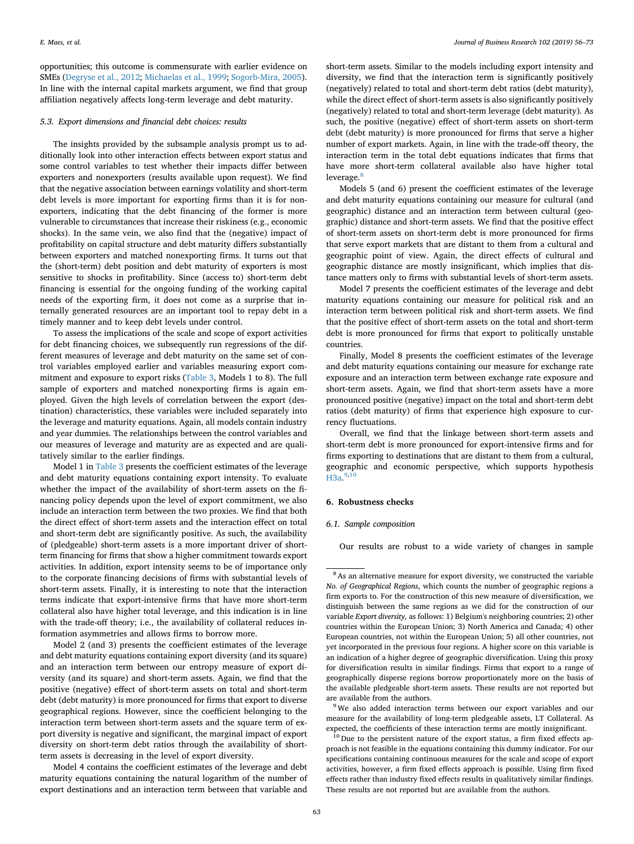opportunities; this outcome is commensurate with earlier evidence on SMEs ([Degryse et al., 2012;](#page-17-11) [Michaelas et al., 1999](#page-17-12); [Sogorb-Mira, 2005](#page-17-33)). In line with the internal capital markets argument, we find that group affiliation negatively affects long-term leverage and debt maturity.

# *5.3. Export dimensions and financial debt choices: results*

The insights provided by the subsample analysis prompt us to additionally look into other interaction effects between export status and some control variables to test whether their impacts differ between exporters and nonexporters (results available upon request). We find that the negative association between earnings volatility and short-term debt levels is more important for exporting firms than it is for nonexporters, indicating that the debt financing of the former is more vulnerable to circumstances that increase their riskiness (e.g., economic shocks). In the same vein, we also find that the (negative) impact of profitability on capital structure and debt maturity differs substantially between exporters and matched nonexporting firms. It turns out that the (short-term) debt position and debt maturity of exporters is most sensitive to shocks in profitability. Since (access to) short-term debt financing is essential for the ongoing funding of the working capital needs of the exporting firm, it does not come as a surprise that internally generated resources are an important tool to repay debt in a timely manner and to keep debt levels under control.

To assess the implications of the scale and scope of export activities for debt financing choices, we subsequently run regressions of the different measures of leverage and debt maturity on the same set of control variables employed earlier and variables measuring export commitment and exposure to export risks ([Table 3,](#page-8-0) Models 1 to 8). The full sample of exporters and matched nonexporting firms is again employed. Given the high levels of correlation between the export (destination) characteristics, these variables were included separately into the leverage and maturity equations. Again, all models contain industry and year dummies. The relationships between the control variables and our measures of leverage and maturity are as expected and are qualitatively similar to the earlier findings.

Model 1 in [Table 3](#page-8-0) presents the coefficient estimates of the leverage and debt maturity equations containing export intensity. To evaluate whether the impact of the availability of short-term assets on the financing policy depends upon the level of export commitment, we also include an interaction term between the two proxies. We find that both the direct effect of short-term assets and the interaction effect on total and short-term debt are significantly positive. As such, the availability of (pledgeable) short-term assets is a more important driver of shortterm financing for firms that show a higher commitment towards export activities. In addition, export intensity seems to be of importance only to the corporate financing decisions of firms with substantial levels of short-term assets. Finally, it is interesting to note that the interaction terms indicate that export-intensive firms that have more short-term collateral also have higher total leverage, and this indication is in line with the trade-off theory; i.e., the availability of collateral reduces information asymmetries and allows firms to borrow more.

Model 2 (and 3) presents the coefficient estimates of the leverage and debt maturity equations containing export diversity (and its square) and an interaction term between our entropy measure of export diversity (and its square) and short-term assets. Again, we find that the positive (negative) effect of short-term assets on total and short-term debt (debt maturity) is more pronounced for firms that export to diverse geographical regions. However, since the coefficient belonging to the interaction term between short-term assets and the square term of export diversity is negative and significant, the marginal impact of export diversity on short-term debt ratios through the availability of shortterm assets is decreasing in the level of export diversity.

Model 4 contains the coefficient estimates of the leverage and debt maturity equations containing the natural logarithm of the number of export destinations and an interaction term between that variable and

short-term assets. Similar to the models including export intensity and diversity, we find that the interaction term is significantly positively (negatively) related to total and short-term debt ratios (debt maturity), while the direct effect of short-term assets is also significantly positively (negatively) related to total and short-term leverage (debt maturity). As such, the positive (negative) effect of short-term assets on short-term debt (debt maturity) is more pronounced for firms that serve a higher number of export markets. Again, in line with the trade-off theory, the interaction term in the total debt equations indicates that firms that have more short-term collateral available also have higher total leverage.<sup>[8](#page-7-1)</sup>

Models 5 (and 6) present the coefficient estimates of the leverage and debt maturity equations containing our measure for cultural (and geographic) distance and an interaction term between cultural (geographic) distance and short-term assets. We find that the positive effect of short-term assets on short-term debt is more pronounced for firms that serve export markets that are distant to them from a cultural and geographic point of view. Again, the direct effects of cultural and geographic distance are mostly insignificant, which implies that distance matters only to firms with substantial levels of short-term assets.

Model 7 presents the coefficient estimates of the leverage and debt maturity equations containing our measure for political risk and an interaction term between political risk and short-term assets. We find that the positive effect of short-term assets on the total and short-term debt is more pronounced for firms that export to politically unstable countries.

Finally, Model 8 presents the coefficient estimates of the leverage and debt maturity equations containing our measure for exchange rate exposure and an interaction term between exchange rate exposure and short-term assets. Again, we find that short-term assets have a more pronounced positive (negative) impact on the total and short-term debt ratios (debt maturity) of firms that experience high exposure to currency fluctuations.

Overall, we find that the linkage between short-term assets and short-term debt is more pronounced for export-intensive firms and for firms exporting to destinations that are distant to them from a cultural, geographic and economic perspective, which supports hypothesis H<sub>3a</sub>.<sup>[9](#page-7-2)[,10](#page-7-3)</sup>

#### <span id="page-7-0"></span>**6. Robustness checks**

### *6.1. Sample composition*

Our results are robust to a wide variety of changes in sample

<span id="page-7-2"></span><sup>9</sup> We also added interaction terms between our export variables and our measure for the availability of long-term pledgeable assets, LT Collateral. As expected, the coefficients of these interaction terms are mostly insignificant.

<span id="page-7-1"></span><sup>&</sup>lt;sup>8</sup> As an alternative measure for export diversity, we constructed the variable *No. of Geographical Regions*, which counts the number of geographic regions a firm exports to. For the construction of this new measure of diversification, we distinguish between the same regions as we did for the construction of our variable *Export diversity,* as follows: 1) Belgium's neighboring countries; 2) other countries within the European Union; 3) North America and Canada; 4) other European countries, not within the European Union; 5) all other countries, not yet incorporated in the previous four regions. A higher score on this variable is an indication of a higher degree of geographic diversification. Using this proxy for diversification results in similar findings. Firms that export to a range of geographically disperse regions borrow proportionately more on the basis of the available pledgeable short-term assets. These results are not reported but are available from the authors.

<span id="page-7-3"></span> $10$  Due to the persistent nature of the export status, a firm fixed effects approach is not feasible in the equations containing this dummy indicator. For our specifications containing continuous measures for the scale and scope of export activities, however, a firm fixed effects approach is possible. Using firm fixed effects rather than industry fixed effects results in qualitatively similar findings. These results are not reported but are available from the authors.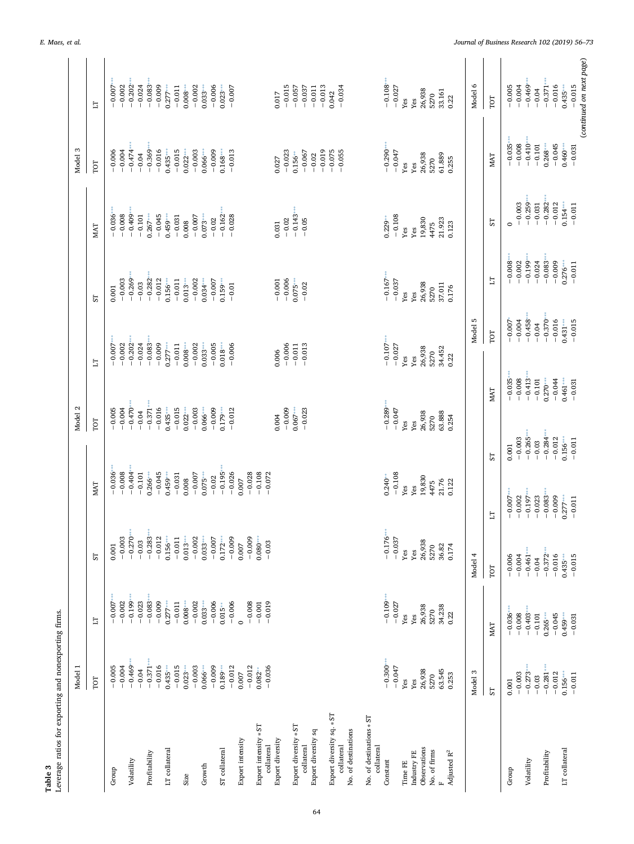<span id="page-8-0"></span>

| Leverage ratios for exporting and nonexporting firms.<br>Table 3 |                         |                         |                         |                         |                         |                         |                         |                         |                         |                         |                                      |
|------------------------------------------------------------------|-------------------------|-------------------------|-------------------------|-------------------------|-------------------------|-------------------------|-------------------------|-------------------------|-------------------------|-------------------------|--------------------------------------|
|                                                                  | Model 1                 |                         |                         |                         |                         | Model 2                 |                         |                         |                         | Model 3                 |                                      |
|                                                                  | TOT                     | 5                       | 55                      | MAT                     | TOT                     |                         | E                       | ST.                     | MAT                     | TOT                     | E                                    |
| Group                                                            | $-0.005$                | $-0.007$                | $0.001\,$               | $-0.036'''$             |                         | $-0.005$                | $-0.007$ **             | 0.001                   | $-0.036$                | $-0.006$                | $-0.007$ ***                         |
| Volatility                                                       | $-0.469***$<br>$-0.004$ | $-0.199***$<br>$-0.002$ | $-0.270***$<br>$-0.003$ | $-0.404$<br>$-0.008$    |                         | $-0.470**$<br>$-0.004$  | $-0.202***$<br>$-0.002$ | $-0.269***$<br>$-0.003$ | $-0.409$<br>$-0.008$    | $-0.474**$<br>$-0.004$  | $-0.202***$<br>$-0.002$              |
|                                                                  | $-0.04$                 | $-0.023$                | $-0.03$                 | $-0.101$                | $-0.04$                 |                         | $-0.024$                | $-0.03$                 | $-0.101$                | $-0.04$                 | $-0.024$                             |
| Profitability                                                    | $-0.371***$             | $-0.083***$             | $-0.283$ *              | 0.266                   |                         | $-0.371***$             | $-0.083***$             | $-0.282***$             | $0.267***$              | $-0.369$                | $-0.083$                             |
| LT collateral                                                    | $-0.016$<br>$0.435***$  | $-0.009$<br>$0.277***$  | $-0.012$<br>$0.156***$  | $-0.045$<br>$0.459***$  | $0.435***$              | $-0.016$                | $-0.009$<br>$0.277***$  | $-0.012$<br>$0.156***$  | $-0.045$<br>$0.459***$  | $-0.016$<br>$0.435***$  | $-0.009$<br>$0.277***$               |
|                                                                  | $-0.015$                | $-0.011$                | $-0.011$                | $-0.031$                |                         | $-0.015$                | $-0.011$                | $-0.011$                | $-0.031$                | $-0.015$                | $-0.011$                             |
| $\mathrm{Size}$                                                  | $-0.003$<br>$0.023***$  | $-0.002$<br>$0.008***$  | $0.013***$<br>$-0.002$  | $-0.007$<br>0.008       | $0.022***$              | $-0.003$                | 0.008<br>$-0.002$       | $0.013***$<br>$-0.002$  | $-0.007$<br>0.008       | $-0.003$<br>$0.022***$  | 0.008<br>$-0.002$                    |
| Growth                                                           | 0.066                   | $0.033***$              | $0.033***$              | $0.075***$              | $0.066***$              |                         | $0.033***$              | $0.034***$              | $0.073***$              | $0.066***$              | $0.033***$                           |
| ST collateral                                                    | $-0.009$<br>$0.189***$  | $-0.006$<br>$0.015***$  | $0.172***$<br>$-0.007$  | $-0.195$ *<br>$-0.02$   |                         | $-0.009$<br>$0.179***$  | $-0.005$<br>$0.018***$  | $-0.007$<br>$0.159***$  | $-0.162$<br>$-0.02$     | $-0.009$<br>$0.168***$  | $-0.006$<br>$0.023***$               |
|                                                                  | $-0.012$                | $-0.006$                | $-0.009$                | $-0.026$                |                         | $-0.012$                | $-0.006$                | $-0.01$                 | $-0.028$                | $-0.013$                | $-0.007$                             |
| Export intensity                                                 | $-0.012$<br>0.007       | $-0.008$<br>$\circ$     | $-0.009$<br>0.007       | $-0.028$<br>0.007       |                         |                         |                         |                         |                         |                         |                                      |
| Export intensity * ST                                            | $0.082**$               | $-0.001$                | $0.080***$              | $-0.108$                |                         |                         |                         |                         |                         |                         |                                      |
| collateral                                                       | $-0.036$                | $-0.019$                | $-0.03$                 | $-0.072$                |                         |                         |                         |                         |                         |                         | 0.017                                |
| Export diversity                                                 |                         |                         |                         |                         | 0.004                   | $-0.009$                | $-0.006$<br>0.006       | $-0.006$<br>$-0.001$    | $-0.02$<br>0.031        | $-0.023$<br>0.027       | $-0.015$                             |
| Export diversity * ST                                            |                         |                         |                         |                         |                         | $0.067***$              | $-0.011$                | $0.075***$              | $-0.143***$             | $0.156***$              | $-0.057$                             |
| Export diversity sq<br>collateral                                |                         |                         |                         |                         |                         | $-0.023$                | $-0.013$                | $-0.02$                 | $-0.05$                 | $-0.067$<br>$-0.02$     | $-0.037$<br>$-0.011$                 |
|                                                                  |                         |                         |                         |                         |                         |                         |                         |                         |                         | $-0.019$                | $-0.013$                             |
| Export diversity sq. * ST<br>collateral                          |                         |                         |                         |                         |                         |                         |                         |                         |                         | $-0.075$<br>$-0.055$    | $-0.034$<br>0.042                    |
| No. of destinations                                              |                         |                         |                         |                         |                         |                         |                         |                         |                         |                         |                                      |
| No. of destinations * ST<br>collateral                           |                         |                         |                         |                         |                         |                         |                         |                         |                         |                         |                                      |
| Constant                                                         | $-0.300***$             | $-0.109$                | $-0.176$                | $0.240***$              |                         | $-0.289***$             | $-0.107***$             | $-0.167***$             | $0.229***$              | $-0.290***$             | $-0.108$                             |
| Time FE                                                          | $-0.047$<br>Yes         | $-0.027$<br>Yes         | $-0.037$<br>Yes         | $-0.108$<br>Yes         | Yes                     | $-0.047$                | $-0.027$<br>Yes         | $-0.037$<br>Yes         | $-0.108$<br>Yes         | $-0.047$<br>Yes         | $-0.027$<br>Yes                      |
| Industry FE                                                      | Yes                     | Yes                     | Yes                     | Yes                     | Yes                     |                         | Yes                     | Yes                     | Yes                     | Yes                     | Yes                                  |
| Observations<br>No. of firms                                     | 26,938<br>5270          | 26,938<br>5270          | 26,938<br>5270          | 19,830<br>4475          | 26,938<br>5270          |                         | 26,938<br>5270          | 26,938<br>5270          | 19,830<br>4475          | 26,938<br>5270          | 26,938<br>5270                       |
|                                                                  | 63.545                  | 34.238                  | 36.82                   | 21.76                   | 63.888                  |                         | 34.452                  | 37.011                  | 21.923                  | 61.889                  | 33.161                               |
| Adjusted $\rm R^2$                                               | 0.253                   | 0.22                    | 0.174                   | 0.122                   | 0.254                   |                         | 0.22                    | 0.176                   | 0.123                   | 0.255                   | 0.22                                 |
|                                                                  | Model 3                 |                         | Model 4                 |                         |                         |                         | Model 5                 |                         |                         |                         | Model 6                              |
|                                                                  | ST <sub></sub>          | MAT                     | TOT                     | Ë                       | ST.                     | MAT                     | TOT                     | Ë                       | 55                      | MAT                     | TOT                                  |
| Group                                                            | 0.001                   | $-0.036***$             | $-0.006$                | $-0.007***$             | $0.001\,$               | $-0.035***$             | $-0.007*$               | $-0.008***$             | $\circ$                 | $-0.035***$             | $-0.005$                             |
|                                                                  | $-0.003$                | $-0.008$                | $-0.004$                | $-0.002$                | $-0.003$                | $-0.008$                | $-0.004$                | $-0.002$                | $-0.003$                | $-0.008$                | $-0.004$                             |
| Volatility                                                       | $-0.273***$<br>$-0.03$  | $-0.403$<br>$-0.101$    | $-0.461***$<br>$-0.04$  | $-0.197***$<br>$-0.023$ | $-0.265***$<br>$-0.03$  | $-0.413***$<br>$-0.101$ | $-0.458***$<br>$-0.04$  | $-0.199***$<br>$-0.024$ | $-0.259***$<br>$-0.031$ | $-0.410***$<br>$-0.101$ | $-0.469***$<br>$-0.04$               |
| Profitability                                                    | $-0.281***$<br>$-0.012$ | $-0.045$<br>$0.265***$  | $-0.372$<br>$-0.016$    | $-0.083***$<br>$-0.009$ | $-0.284***$<br>$-0.012$ | $0.270***$<br>$-0.044$  | $-0.370$<br>$-0.016$    | $-0.083$<br>$-0.009$    | $-0.282***$<br>$-0.012$ | $-0.045$<br>$0.268***$  | $-0.371***$<br>$-0.016$              |
| LT collateral                                                    | $0.156***$              | $0.459***$              | $0.435***$              | $0.277***$              | $0.156***$              | $0.461***$              | $0.431***$              | $0.276***$              | $0.154***$              | $0.460***$              | $0.435***$                           |
|                                                                  | $-0.011$                | $-0.031$                | $-0.015$                | $-0.011$                | $-0.011$                | $-0.031$                | $-0.015$                | $-0.011$                | $-0.011$                | $-0.031$                | (continued on next page)<br>$-0.015$ |
|                                                                  |                         |                         |                         |                         |                         |                         |                         |                         |                         |                         |                                      |

*E. Maes, et al. Journal of Business Research 102 (2019) 56–73*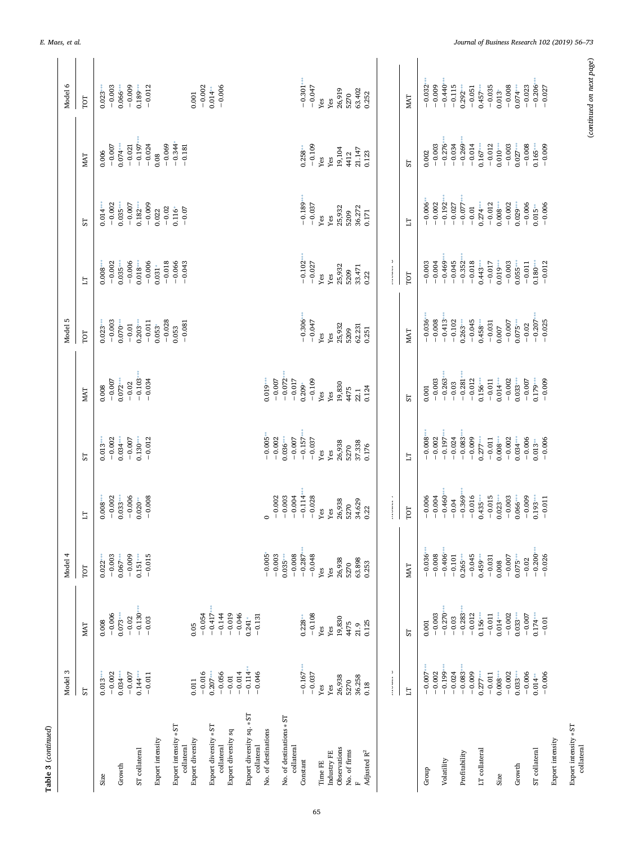| Table 3 (continued)                     |                                                                                                                                                                                                                                                                                                                                                   |                        |                         |                         |                         |                                 |                                    |                                  |                              |                              |                                  |
|-----------------------------------------|---------------------------------------------------------------------------------------------------------------------------------------------------------------------------------------------------------------------------------------------------------------------------------------------------------------------------------------------------|------------------------|-------------------------|-------------------------|-------------------------|---------------------------------|------------------------------------|----------------------------------|------------------------------|------------------------------|----------------------------------|
|                                         | Model 3                                                                                                                                                                                                                                                                                                                                           |                        | Model 4                 |                         |                         |                                 | Model 5                            |                                  |                              |                              | Model 6                          |
|                                         | ST.                                                                                                                                                                                                                                                                                                                                               | MAT                    | TOT                     | Ë                       | ST.                     | MAT                             | TOT                                | Ë                                | 5T                           | MAT                          | TOT                              |
| Size                                    | $0.013***$                                                                                                                                                                                                                                                                                                                                        | 0.008                  | $0.022***$              | $0.008***$              | $0.013***$              | 0.008                           | $0.023***$                         | $0.008***$                       | $0.014***$                   | 0.006                        | $0.023***$                       |
| Growth                                  | $-0.002$<br>$0.034***$                                                                                                                                                                                                                                                                                                                            | $0.073***$<br>$-0.006$ | $-0.003$<br>$0.067***$  | $0.033***$<br>$-0.002$  | $0.034***$<br>$-0.002$  | $-0.007$<br>$0.072***$          | $-0.003$<br>$0.070***$             | $-0.002$<br>$0.035***$           | $-0.002$<br>$0.035***$       | $0.074***$<br>$-0.007$       | $-0.003$<br>$0.066***$           |
| ST collateral                           | $-0.007$<br>$0.144***$                                                                                                                                                                                                                                                                                                                            | $-0.130$<br>$-0.02$    | $-0.009$<br>$0.151***$  | $-0.006$<br>0.020       | $-0.007$<br>$0.130***$  | $-0.103$<br>$-0.034$<br>$-0.02$ | $0.203***$<br>$-0.01$              | $-0.006$<br>$0.018***$           | $-0.007$<br>$0.182***$       | $-0.197$<br>$-0.021$         | $-0.009$<br>0.189                |
| Export intensity                        | $-0.011$                                                                                                                                                                                                                                                                                                                                          | $-0.03$                | $-0.015$                | $-0.008$                | $-0.012$                |                                 | $-0.028$<br>$-0.011$<br>$0.053*$   | $-0.006$<br>$-0.018$<br>$0.031*$ | $-0.009$<br>$-0.02$<br>0.022 | $-0.024$<br>$-0.069$<br>0.08 | $-0.012$                         |
| Export intensity * ST<br>collateral     |                                                                                                                                                                                                                                                                                                                                                   |                        |                         |                         |                         |                                 | $-0.081$<br>0.053                  | $-0.066$<br>$-0.043$             | $0.116*$<br>$-0.07$          | $-0.344*$<br>$-0.181$        |                                  |
| Export diversity                        | $-0.016$<br>0.011                                                                                                                                                                                                                                                                                                                                 | $-0.054$<br>0.05       |                         |                         |                         |                                 |                                    |                                  |                              |                              | $-0.002$<br>0.001                |
| Export diversity * ST<br>collateral     | $-0.056$<br>$0.207***$                                                                                                                                                                                                                                                                                                                            | $-0.417$<br>$-0.144$   |                         |                         |                         |                                 |                                    |                                  |                              |                              | $-0.006$<br>$0.014***$           |
| Export diversity sq                     | $-0.014$<br>$-0.01$                                                                                                                                                                                                                                                                                                                               | $-0.019$<br>$-0.046$   |                         |                         |                         |                                 |                                    |                                  |                              |                              |                                  |
| Export diversity sq. * ST<br>collateral | $-0.114***$<br>$-0.046$                                                                                                                                                                                                                                                                                                                           | $-0.131$<br>$0.241*$   |                         |                         |                         |                                 |                                    |                                  |                              |                              |                                  |
| No. of destinations                     |                                                                                                                                                                                                                                                                                                                                                   |                        | $-0.005$                | $\circ$                 | $-0.005$                | $0.019***$                      |                                    |                                  |                              |                              |                                  |
| No. of destinations * ST                |                                                                                                                                                                                                                                                                                                                                                   |                        | $-0.003$<br>$0.035***$  | $-0.003$<br>$-0.002$    | $0.036***$<br>$-0.002$  | $-0.072***$<br>$-0.007$         |                                    |                                  |                              |                              |                                  |
| collateral                              |                                                                                                                                                                                                                                                                                                                                                   |                        | $-0.008$                | $-0.004$                | $-0.007$                | $-0.017$                        |                                    |                                  |                              |                              |                                  |
| Constant                                | $-0.167$<br>$-0.037$                                                                                                                                                                                                                                                                                                                              | $-0.108$<br>$0.228**$  | $-0.287***$<br>$-0.048$ | $-0.114***$<br>$-0.028$ | $-0.157***$<br>$-0.037$ | $-0.109$<br>$0.209*$            | $-0.306$<br>$-0.047$               | $-0.102***$<br>$-0.027$          | $-0.189$<br>$-0.037$         | $-0.109$<br>$0.258**$        | $-0.301***$<br>$-0.047$          |
| Time FE                                 | Yes                                                                                                                                                                                                                                                                                                                                               | Yes                    | Yes                     | Yes                     | Yes                     | Yes                             | Yes                                | Yes                              | Yes                          | Yes                          | Yes                              |
| Industry FE                             | Yes                                                                                                                                                                                                                                                                                                                                               | Yes                    | Yes                     | Yes                     | Yes                     | Yes                             | Yes                                | Yes                              | Yes                          | Yes                          | Yes                              |
| Observations<br>No. of firms            | 26,938<br>5270                                                                                                                                                                                                                                                                                                                                    | 19,830<br>4475         | 26,938<br>5270          | 26,938<br>5270          | 26,938<br>5270          | 19,830<br>4475                  | 25,932<br>5209                     | 25,932<br>5209                   | 25,932<br>5209               | 19,104<br>4412               | 26,919<br>5270                   |
| $\mu$                                   | 36.258                                                                                                                                                                                                                                                                                                                                            | 21.9                   | 63.898                  | 34.629                  | 37.338                  | 22.1                            | 62.231                             | 33.471                           | 36.272                       | 21.147                       | 63.402                           |
| Adjusted $\rm R^2$                      | 0.18                                                                                                                                                                                                                                                                                                                                              | 0.125                  | 0.253                   | 0.22                    | 0.176                   | 0.124                           | 0.251                              | 0.22                             | 0.171                        | 0.123                        | 0.252                            |
|                                         | $\,$<br>$\begin{aligned} \mathbf{1} & \mathbf{1} & \mathbf{1} & \mathbf{1} & \mathbf{1} & \mathbf{1} & \mathbf{1} & \mathbf{1} & \mathbf{1} & \mathbf{1} & \mathbf{1} & \mathbf{1} & \mathbf{1} & \mathbf{1} & \mathbf{1} & \mathbf{1} & \mathbf{1} & \mathbf{1} & \mathbf{1} & \mathbf{1} & \mathbf{1} & \mathbf{1} & \mathbf{1} & \mathbf{1} &$ |                        |                         | $\ddot{\phantom{0}}$    |                         |                                 |                                    |                                  |                              |                              |                                  |
|                                         | E                                                                                                                                                                                                                                                                                                                                                 | 53                     | MAT                     | TOT                     | E                       | ST <sub></sub>                  | MAT                                | $_{\rm tot}$                     | Ë                            | 53                           | MAT                              |
| Group                                   | $-0.007*$                                                                                                                                                                                                                                                                                                                                         | 0.001                  | $-0.036$                | $-0.006$                | $-0.008$                | 0.001                           | $-0.036*$                          | $-0.003$                         | $-0.006*$                    | 0.002                        | $-0.032$ <sup>*</sup>            |
| Volatility                              | $-0.199$<br>$-0.002$                                                                                                                                                                                                                                                                                                                              | $-0.270$<br>$-0.003$   | $-0.406$<br>$-0.008$    | $-0.460$<br>$-0.004$    | $-0.197$<br>$-0.002$    | $-0.263***$<br>$-0.003$         | $-0.413***$<br>$-0.008$            | $-0.469$<br>$-0.004$             | $-0.192$<br>$-0.002$         | $-0.276$ ***<br>$-0.003$     | $-0.440$<br>$-0.009$             |
| Profitability                           | $-0.083$ *<br>$-0.024$                                                                                                                                                                                                                                                                                                                            | $-0.283**$<br>$-0.03$  | $-0.101$<br>$0.265***$  | $-0.369$<br>$-0.04$     | $-0.083**$<br>$-0.024$  | $-0.281***$<br>$-0.03$          | $-0.102$<br>$0.263***$             | $-0.352$<br>$-0.045$             | $-0.027$<br>$-0.077*$        | $-0.269$<br>$-0.034$         | $-0.115$<br>$0.292***$           |
|                                         | $-0.009$                                                                                                                                                                                                                                                                                                                                          | $-0.012$               | $-0.045$                | $-0.016$                | $-0.009$                | $-0.012$                        | $-0.045$                           | $-0.018$                         | $-0.01$                      | $-0.014$                     | $-0.051$                         |
| LT collateral                           | $0.277***$<br>$-0.011$                                                                                                                                                                                                                                                                                                                            | $0.156***$<br>$-0.011$ | $-0.031$<br>$0.459***$  | $0.435***$<br>$-0.015$  | $0.277***$<br>$-0.011$  | $0.156***$<br>$-0.011$          | $0.458***$<br>$-0.031$             | $0.443***$<br>$-0.017$           | $0.274***$<br>$-0.012$       | $-0.012$<br>0.167            | $0.457***$<br>$-0.035$           |
| Size                                    | $-0.002$<br>$0.008***$                                                                                                                                                                                                                                                                                                                            | $-0.002$<br>$0.014***$ | $-0.007$<br>0.008       | $-0.003$<br>$0.023***$  | $-0.002$<br>0.008       | $-0.002$<br>$0.014***$          | $-0.007$<br>0.007                  | $-0.003$<br>$0.019***$           | $-0.002$<br>$0.008***$       | $-0.003$<br>$0.010***$       | $-0.008$<br>$0.013*$             |
| Growth                                  | $0.033***$                                                                                                                                                                                                                                                                                                                                        | $0.033***$             | $0.075***$              | 0.066                   | $0.034***$              | $0.033***$                      | $0.075***$                         | $0.055***$                       | 0.029                        | $0.027***$                   | $0.074***$                       |
| ST collateral                           | $-0.006$<br>$0.014**$                                                                                                                                                                                                                                                                                                                             | $-0.007$<br>$0.174***$ | $-0.200**$<br>$-0.02$   | $-0.009$<br>0.193       | $-0.006$<br>$0.013**$   | $-0.007$<br>$0.179***$          | $-0.207***$<br>$-0.025$<br>$-0.02$ | $-0.011$<br>$0.180**$            | $-0.006$<br>$0.015***$       | $-0.008$<br>$0.165***$       | $-0.206$<br>$-0.027$<br>$-0.023$ |
| Export intensity                        | $-0.006$                                                                                                                                                                                                                                                                                                                                          | $-0.01$                | $-0.026$                | $-0.011$                | $-0.006$                | $-0.009$                        |                                    | $-0.012$                         | $-0.006$                     | $-0.009$                     |                                  |

*E. Maes, et al. Journal of Business Research 102 (2019) 56–73*

(continued on next page) (*continued on next page*)

Export intensity  $\ast$  ST collateral Export intensity ∗ ST collateral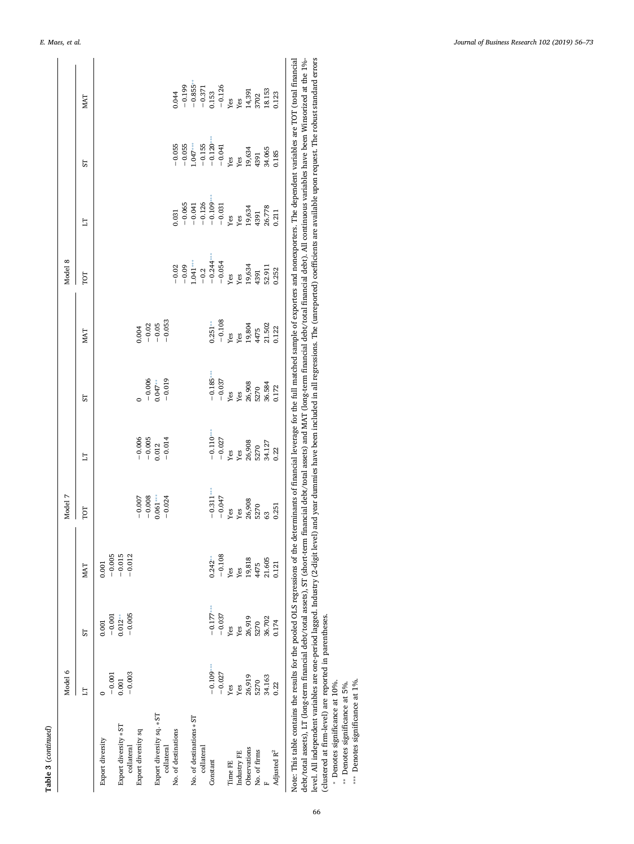| ς       |  |
|---------|--|
|         |  |
|         |  |
| Ą<br>۰. |  |

|                                                                                        | Model 6                                                    |                                   |                                                  | Model 7                                                                                                         |                                                                                 |                                                                                                                         |                                                                                 | Model 8                                                                                                                                                                                                                                                                                                                |                                                                                                                                                                                                                                                                                                                            |                                                                                                                                                                                         |                                                                                                                                                            |
|----------------------------------------------------------------------------------------|------------------------------------------------------------|-----------------------------------|--------------------------------------------------|-----------------------------------------------------------------------------------------------------------------|---------------------------------------------------------------------------------|-------------------------------------------------------------------------------------------------------------------------|---------------------------------------------------------------------------------|------------------------------------------------------------------------------------------------------------------------------------------------------------------------------------------------------------------------------------------------------------------------------------------------------------------------|----------------------------------------------------------------------------------------------------------------------------------------------------------------------------------------------------------------------------------------------------------------------------------------------------------------------------|-----------------------------------------------------------------------------------------------------------------------------------------------------------------------------------------|------------------------------------------------------------------------------------------------------------------------------------------------------------|
|                                                                                        | 5                                                          | R                                 | MAT                                              | <b>FOT</b>                                                                                                      | Ë                                                                               | 57                                                                                                                      | MAT                                                                             | <b>FOT</b>                                                                                                                                                                                                                                                                                                             | E                                                                                                                                                                                                                                                                                                                          | 57                                                                                                                                                                                      | MAT                                                                                                                                                        |
| Export diversity                                                                       |                                                            | 0.001                             | 0.001                                            |                                                                                                                 |                                                                                 |                                                                                                                         |                                                                                 |                                                                                                                                                                                                                                                                                                                        |                                                                                                                                                                                                                                                                                                                            |                                                                                                                                                                                         |                                                                                                                                                            |
| $\begin{array}{l} \text{Expert diversity} * \text{ST} \\ \text{colateral} \end{array}$ | $-0.003$<br>$\begin{array}{c} -0.001 \\ 0.001 \end{array}$ | $-0.005$<br>$-0.001$<br>$0.012**$ | $-0.005$<br>$-0.015$<br>$-0.012$                 |                                                                                                                 |                                                                                 |                                                                                                                         |                                                                                 |                                                                                                                                                                                                                                                                                                                        |                                                                                                                                                                                                                                                                                                                            |                                                                                                                                                                                         |                                                                                                                                                            |
| Export diversity sq                                                                    |                                                            |                                   |                                                  |                                                                                                                 |                                                                                 |                                                                                                                         |                                                                                 |                                                                                                                                                                                                                                                                                                                        |                                                                                                                                                                                                                                                                                                                            |                                                                                                                                                                                         |                                                                                                                                                            |
|                                                                                        |                                                            |                                   |                                                  | $-0.007$<br>$-0.008$<br>$-0.061$<br>$-0.024$                                                                    | $-0.006$<br>$-0.005$<br>$-0.012$<br>$-0.014$                                    | $-0.006$<br>$-0.047**$<br>$-0.019$                                                                                      | $0.004$<br>$-0.05$<br>$-0.053$                                                  |                                                                                                                                                                                                                                                                                                                        |                                                                                                                                                                                                                                                                                                                            |                                                                                                                                                                                         |                                                                                                                                                            |
| Export diversity sq. * ST                                                              |                                                            |                                   |                                                  |                                                                                                                 |                                                                                 |                                                                                                                         |                                                                                 |                                                                                                                                                                                                                                                                                                                        |                                                                                                                                                                                                                                                                                                                            |                                                                                                                                                                                         |                                                                                                                                                            |
| collateral                                                                             |                                                            |                                   |                                                  |                                                                                                                 |                                                                                 |                                                                                                                         |                                                                                 |                                                                                                                                                                                                                                                                                                                        |                                                                                                                                                                                                                                                                                                                            |                                                                                                                                                                                         |                                                                                                                                                            |
| No. of destinations                                                                    |                                                            |                                   |                                                  |                                                                                                                 |                                                                                 |                                                                                                                         |                                                                                 |                                                                                                                                                                                                                                                                                                                        |                                                                                                                                                                                                                                                                                                                            |                                                                                                                                                                                         |                                                                                                                                                            |
|                                                                                        |                                                            |                                   |                                                  |                                                                                                                 |                                                                                 |                                                                                                                         |                                                                                 | $\begin{array}{r} -0.02 \\ -0.09 \\ -0.24 \\ -0.24 \\ -0.24 \\ -0.24 \\ -0.24 \\ -0.24 \\ -0.24 \\ 2.25 \\ 2.25 \\ 2.35 \\ 2.35 \\ 2.35 \\ 2.35 \\ 2.35 \\ 2.35 \\ 2.35 \\ 2.35 \\ 2.35 \\ 2.35 \\ 2.35 \\ 2.35 \\ 2.35 \\ 2.35 \\ 2.35 \\ 2.35 \\ 2.35 \\ 2.35 \\ 2.35 \\ 2.35 \\ 2.35 \\ 2.35 \\ 2.35 \\ 2.35 \\ 2.$ | $\begin{array}{r} 1.031 \\ -0.065 \\ -0.041 \\ -0.126 \\ -0.109 \\ -0.031 \\ \text{Yes} \\ \text{Yes} \\ \text{Yes} \\ 19,634 \\ 19,634 \\ 19,634 \\ 26.778 \\ 26.778 \\ 0.211 \\ 0.211 \\ 0.211 \\ 0.211 \\ 0.211 \\ 0.211 \\ 0.211 \\ 0.211 \\ 0.211 \\ 0.211 \\ 0.211 \\ 0.211 \\ 0.211 \\ 0.211 \\ 0.211 \\ 0.211 \\ $ | $\begin{array}{r} -0.055\\ -0.055\\ -1.047\\ -0.115\\ -0.120\\ \textbf{Yes}\\ \textbf{Yes}\\ \textbf{Yes}\\ 19,634\\ 34,065\\ \textbf{So}\\ 34,065\\ \textbf{So}\\ 0.185\\ \end{array}$ | $1.044$<br>$- 0.199$<br>$- 0.855$<br>$- 0.371$<br>$- 0.3371$<br>$- 0.133$<br>$Yes$<br>$Yes$<br>$Y4,391$<br>$3702$<br>$3702$<br>$3702$<br>$3153$<br>$36133$ |
| No. of destinations * ST                                                               |                                                            |                                   |                                                  |                                                                                                                 |                                                                                 |                                                                                                                         |                                                                                 |                                                                                                                                                                                                                                                                                                                        |                                                                                                                                                                                                                                                                                                                            |                                                                                                                                                                                         |                                                                                                                                                            |
| collateral                                                                             |                                                            |                                   |                                                  |                                                                                                                 |                                                                                 |                                                                                                                         |                                                                                 |                                                                                                                                                                                                                                                                                                                        |                                                                                                                                                                                                                                                                                                                            |                                                                                                                                                                                         |                                                                                                                                                            |
| Constant                                                                               |                                                            |                                   |                                                  |                                                                                                                 |                                                                                 |                                                                                                                         |                                                                                 |                                                                                                                                                                                                                                                                                                                        |                                                                                                                                                                                                                                                                                                                            |                                                                                                                                                                                         |                                                                                                                                                            |
|                                                                                        | $-0.109***$<br>-0.027                                      | $-0.177***$<br>$-0.037$           | $0.242$<br>-0.108                                |                                                                                                                 |                                                                                 |                                                                                                                         |                                                                                 |                                                                                                                                                                                                                                                                                                                        |                                                                                                                                                                                                                                                                                                                            |                                                                                                                                                                                         |                                                                                                                                                            |
| Time FE                                                                                |                                                            | Yes                               |                                                  |                                                                                                                 |                                                                                 |                                                                                                                         |                                                                                 |                                                                                                                                                                                                                                                                                                                        |                                                                                                                                                                                                                                                                                                                            |                                                                                                                                                                                         |                                                                                                                                                            |
| Industry FE                                                                            |                                                            |                                   |                                                  |                                                                                                                 |                                                                                 |                                                                                                                         |                                                                                 |                                                                                                                                                                                                                                                                                                                        |                                                                                                                                                                                                                                                                                                                            |                                                                                                                                                                                         |                                                                                                                                                            |
| Observations                                                                           | Yes<br>Yes<br>26,919<br>5270<br>34.163                     | Yes<br>26,919<br>5270<br>36.702   | Yes<br>Yes<br>19,818<br>4475<br>21.605<br>21.605 | $\begin{array}{r} -0.311 \\ -0.047 \\ Yes \\ Yes \\ Yes \\ 26,908 \\ 63 \\ 63 \\ 0.251 \\ 0.251 \\ \end{array}$ | $-0.110$<br>$-0.027$<br>Yes<br>Yes<br>Yes<br>26,908<br>5270<br>34,127<br>34,127 |                                                                                                                         |                                                                                 |                                                                                                                                                                                                                                                                                                                        |                                                                                                                                                                                                                                                                                                                            |                                                                                                                                                                                         |                                                                                                                                                            |
| No. of firms                                                                           |                                                            |                                   |                                                  |                                                                                                                 |                                                                                 |                                                                                                                         |                                                                                 |                                                                                                                                                                                                                                                                                                                        |                                                                                                                                                                                                                                                                                                                            |                                                                                                                                                                                         |                                                                                                                                                            |
|                                                                                        |                                                            |                                   |                                                  |                                                                                                                 |                                                                                 |                                                                                                                         |                                                                                 |                                                                                                                                                                                                                                                                                                                        |                                                                                                                                                                                                                                                                                                                            |                                                                                                                                                                                         |                                                                                                                                                            |
| Adjusted $\rm R^2$                                                                     | 0.22                                                       | 0.174                             |                                                  |                                                                                                                 |                                                                                 | $\begin{array}{r} -0.185 \\ -0.037 \\ Yes \\ Yes \\ Yes \\ 26,908 \\ 5270 \\ 36.584 \\ 36.584 \\ 36.584 \\ \end{array}$ | $0.251**$<br>$-0.108$<br>Yes<br>Yes<br>Yes<br>19,804<br>4475<br>21.502<br>0.122 |                                                                                                                                                                                                                                                                                                                        |                                                                                                                                                                                                                                                                                                                            |                                                                                                                                                                                         |                                                                                                                                                            |
|                                                                                        |                                                            |                                   |                                                  |                                                                                                                 |                                                                                 |                                                                                                                         |                                                                                 |                                                                                                                                                                                                                                                                                                                        |                                                                                                                                                                                                                                                                                                                            |                                                                                                                                                                                         |                                                                                                                                                            |

<span id="page-10-2"></span><span id="page-10-1"></span><span id="page-10-0"></span>Note: This table contains the results for the pooled OLS regressions of the determinants of financial leverage for the full matched sample of exporters and nonexporters. The dependent variables are TOT (total financial deb Note: This table contains the results for the pooled OLS regressions of the determinants of financial leverage for the full matched sample of exporters and nonexporters. The dependent variables are TOT (total financial debt/total assets), LT (long-term financial debt/total assets), ST (short-term financial debt/total assets) and MAT (long-term financial debt/total financial debt). All continuous variables have been Winsorized at the 1% level. All independent variables are one-period lagged. Industry (2-digit level) and year dummies have been included in all regressions. The (unreported) coefficients are available upon request. The robust standard errors (clustered at firm-level) are reported in parentheses. (clustered at firm-level) are reported in parentheses.

Denotes significance at 10%.

⁎⁎ Denotes significance at 5%.

 $^\ast$  Denotes significance at 10%.<br> $^{\ast\ast}$  Denotes significance at 5%.<br> $^{\ast\ast\ast}$  Denotes significance at 1%. ⁎⁎⁎ Denotes significance at 1%.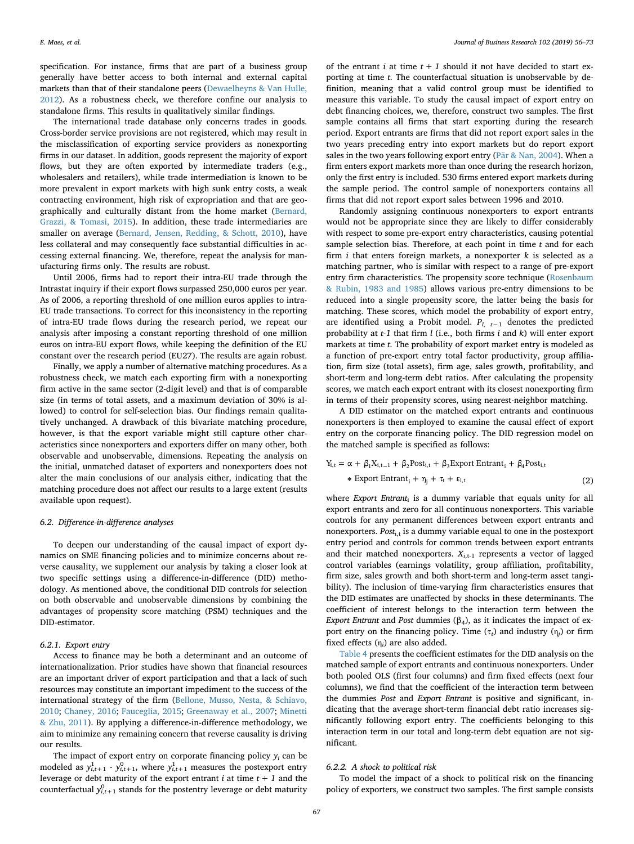specification. For instance, firms that are part of a business group generally have better access to both internal and external capital markets than that of their standalone peers ([Dewaelheyns & Van Hulle,](#page-17-32) [2012\)](#page-17-32). As a robustness check, we therefore confine our analysis to standalone firms. This results in qualitatively similar findings.

The international trade database only concerns trades in goods. Cross-border service provisions are not registered, which may result in the misclassification of exporting service providers as nonexporting firms in our dataset. In addition, goods represent the majority of export flows, but they are often exported by intermediate traders (e.g., wholesalers and retailers), while trade intermediation is known to be more prevalent in export markets with high sunk entry costs, a weak contracting environment, high risk of expropriation and that are geographically and culturally distant from the home market [\(Bernard,](#page-17-42) [Grazzi, & Tomasi, 2015](#page-17-42)). In addition, these trade intermediaries are smaller on average [\(Bernard, Jensen, Redding, & Schott, 2010\)](#page-17-43), have less collateral and may consequently face substantial difficulties in accessing external financing. We, therefore, repeat the analysis for manufacturing firms only. The results are robust.

Until 2006, firms had to report their intra-EU trade through the Intrastat inquiry if their export flows surpassed 250,000 euros per year. As of 2006, a reporting threshold of one million euros applies to intra-EU trade transactions. To correct for this inconsistency in the reporting of intra-EU trade flows during the research period, we repeat our analysis after imposing a constant reporting threshold of one million euros on intra-EU export flows, while keeping the definition of the EU constant over the research period (EU27). The results are again robust.

Finally, we apply a number of alternative matching procedures. As a robustness check, we match each exporting firm with a nonexporting firm active in the same sector (2-digit level) and that is of comparable size (in terms of total assets, and a maximum deviation of 30% is allowed) to control for self-selection bias. Our findings remain qualitatively unchanged. A drawback of this bivariate matching procedure, however, is that the export variable might still capture other characteristics since nonexporters and exporters differ on many other, both observable and unobservable, dimensions. Repeating the analysis on the initial, unmatched dataset of exporters and nonexporters does not alter the main conclusions of our analysis either, indicating that the matching procedure does not affect our results to a large extent (results available upon request).

#### <span id="page-11-0"></span>*6.2. Difference-in-difference analyses*

To deepen our understanding of the causal impact of export dynamics on SME financing policies and to minimize concerns about reverse causality, we supplement our analysis by taking a closer look at two specific settings using a difference-in-difference (DID) methodology. As mentioned above, the conditional DID controls for selection on both observable and unobservable dimensions by combining the advantages of propensity score matching (PSM) techniques and the DID-estimator.

# *6.2.1. Export entry*

Access to finance may be both a determinant and an outcome of internationalization. Prior studies have shown that financial resources are an important driver of export participation and that a lack of such resources may constitute an important impediment to the success of the international strategy of the firm ([Bellone, Musso, Nesta, & Schiavo,](#page-16-6) [2010;](#page-16-6) [Chaney, 2016](#page-17-44); [Fauceglia, 2015;](#page-17-45) [Greenaway et al., 2007](#page-17-21); [Minetti](#page-17-46) [& Zhu, 2011](#page-17-46)). By applying a difference-in-difference methodology, we aim to minimize any remaining concern that reverse causality is driving our results.

The impact of export entry on corporate financing policy  $y_i$  can be modeled as  $y_{i,t+1}^1 \cdot y_{i,t+1}^0$ , where  $y_{i,t+1}^1$  measures the postexport entry leverage or debt maturity of the export entrant *i* at time *t* + *1* and the counterfactual  $y_{i,t+1}^0$  stands for the postentry leverage or debt maturity

of the entrant  $i$  at time  $t + 1$  should it not have decided to start exporting at time *t*. The counterfactual situation is unobservable by definition, meaning that a valid control group must be identified to measure this variable. To study the causal impact of export entry on debt financing choices, we, therefore, construct two samples. The first sample contains all firms that start exporting during the research period. Export entrants are firms that did not report export sales in the two years preceding entry into export markets but do report export sales in the two years following export entry [\(Pär & Nan, 2004](#page-17-47)). When a firm enters export markets more than once during the research horizon, only the first entry is included. 530 firms entered export markets during the sample period. The control sample of nonexporters contains all firms that did not report export sales between 1996 and 2010.

Randomly assigning continuous nonexporters to export entrants would not be appropriate since they are likely to differ considerably with respect to some pre-export entry characteristics, causing potential sample selection bias. Therefore, at each point in time *t* and for each firm *i* that enters foreign markets, a nonexporter *k* is selected as a matching partner, who is similar with respect to a range of pre-export entry firm characteristics. The propensity score technique ([Rosenbaum](#page-17-48) [& Rubin, 1983 and 1985](#page-17-48)) allows various pre-entry dimensions to be reduced into a single propensity score, the latter being the basis for matching. These scores, which model the probability of export entry, are identified using a Probit model. *Pl*, *<sup>t</sup>*−1 denotes the predicted probability at *t-1* that firm *l* (i.e., both firms *i* and *k*) will enter export markets at time *t*. The probability of export market entry is modeled as a function of pre-export entry total factor productivity, group affiliation, firm size (total assets), firm age, sales growth, profitability, and short-term and long-term debt ratios. After calculating the propensity scores, we match each export entrant with its closest nonexporting firm in terms of their propensity scores, using nearest-neighbor matching.

A DID estimator on the matched export entrants and continuous nonexporters is then employed to examine the causal effect of export entry on the corporate financing policy. The DID regression model on the matched sample is specified as follows:

$$
Y_{i,t} = \alpha + \beta_1 X_{i,t-1} + \beta_2 \text{Post}_{i,t} + \beta_3 \text{Export Entrant}_i + \beta_4 \text{Post}_{i,t}
$$
  
\* Export Entrant<sub>i</sub> +  $\eta_j$  +  $\tau_t$  +  $\varepsilon_{i,t}$  (2)

where *Export Entrant*<sup>i</sup> is a dummy variable that equals unity for all export entrants and zero for all continuous nonexporters. This variable controls for any permanent differences between export entrants and nonexporters. *Post*<sub>i,t</sub> is a dummy variable equal to one in the postexport entry period and controls for common trends between export entrants and their matched nonexporters.  $X_{i,t-1}$  represents a vector of lagged control variables (earnings volatility, group affiliation, profitability, firm size, sales growth and both short-term and long-term asset tangibility). The inclusion of time-varying firm characteristics ensures that the DID estimates are unaffected by shocks in these determinants. The coefficient of interest belongs to the interaction term between the *Export Entrant* and *Post* dummies ( $\beta$ <sub>4</sub>), as it indicates the impact of export entry on the financing policy. Time  $(\tau_t)$  and industry  $(\eta_i)$  or firm fixed effects (η*i*) are also added.

[Table 4](#page-12-0) presents the coefficient estimates for the DID analysis on the matched sample of export entrants and continuous nonexporters. Under both pooled OLS (first four columns) and firm fixed effects (next four columns), we find that the coefficient of the interaction term between the dummies *Post* and *Export Entrant* is positive and significant, indicating that the average short-term financial debt ratio increases significantly following export entry. The coefficients belonging to this interaction term in our total and long-term debt equation are not significant.

#### *6.2.2. A shock to political risk*

To model the impact of a shock to political risk on the financing policy of exporters, we construct two samples. The first sample consists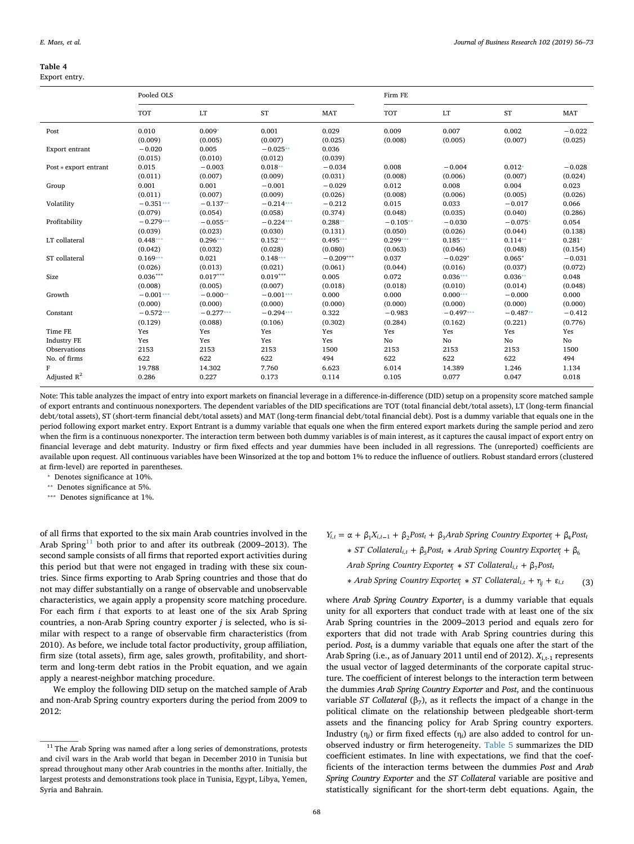# <span id="page-12-0"></span>**Table 4**

|                       | Pooled OLS  |             |             |             | Firm FE    |             |            |                        |
|-----------------------|-------------|-------------|-------------|-------------|------------|-------------|------------|------------------------|
|                       | <b>TOT</b>  | LT          | <b>ST</b>   | <b>MAT</b>  | <b>TOT</b> | LT          | ST         | <b>MAT</b>             |
| Post                  | 0.010       | $0.009*$    | 0.001       | 0.029       | 0.009      | 0.007       | 0.002      | $-0.022$               |
|                       | (0.009)     | (0.005)     | (0.007)     | (0.025)     | (0.008)    | (0.005)     | (0.007)    | (0.025)                |
| Export entrant        | $-0.020$    | 0.005       | $-0.025**$  | 0.036       |            |             |            |                        |
|                       | (0.015)     | (0.010)     | (0.012)     | (0.039)     |            |             |            |                        |
| Post * export entrant | 0.015       | $-0.003$    | $0.018**$   | $-0.034$    | 0.008      | $-0.004$    | $0.012*$   | $-0.028$               |
|                       | (0.011)     | (0.007)     | (0.009)     | (0.031)     | (0.008)    | (0.006)     | (0.007)    | (0.024)                |
| Group                 | 0.001       | 0.001       | $-0.001$    | $-0.029$    | 0.012      | 0.008       | 0.004      | 0.023                  |
|                       | (0.011)     | (0.007)     | (0.009)     | (0.026)     | (0.008)    | (0.006)     | (0.005)    | (0.026)                |
| Volatility            | $-0.351***$ | $-0.137**$  | $-0.214***$ | $-0.212$    | 0.015      | 0.033       | $-0.017$   | 0.066                  |
|                       | (0.079)     | (0.054)     | (0.058)     | (0.374)     | (0.048)    | (0.035)     | (0.040)    | (0.286)                |
| Profitability         | $-0.279***$ | $-0.055**$  | $-0.224***$ | $0.288**$   | $-0.105**$ | $-0.030$    | $-0.075*$  | 0.054                  |
|                       | (0.039)     | (0.023)     | (0.030)     | (0.131)     | (0.050)    | (0.026)     | (0.044)    | (0.138)                |
| LT collateral         | $0.448***$  | $0.296***$  | $0.152***$  | $0.495***$  | $0.299***$ | $0.185***$  | $0.114**$  | $0.281*$               |
|                       | (0.042)     | (0.032)     | (0.028)     | (0.080)     | (0.063)    | (0.046)     | (0.048)    | (0.154)                |
| ST collateral         | $0.169***$  | 0.021       | $0.148***$  | $-0.209***$ | 0.037      | $-0.029*$   | $0.065*$   | $-0.031$               |
|                       | (0.026)     | (0.013)     | (0.021)     | (0.061)     | (0.044)    | (0.016)     | (0.037)    | (0.072)                |
| Size                  | $0.036***$  | $0.017***$  | $0.019***$  | 0.005       | 0.072      | $0.036***$  | $0.036**$  | 0.048                  |
|                       | (0.008)     | (0.005)     | (0.007)     | (0.018)     | (0.018)    | (0.010)     | (0.014)    | (0.048)                |
| Growth                | $-0.001***$ | $-0.000**$  | $-0.001***$ | 0.000       | 0.000      | $0.000***$  | $-0.000$   | 0.000                  |
|                       | (0.000)     | (0.000)     | (0.000)     | (0.000)     | (0.000)    | (0.000)     | (0.000)    | (0.000)                |
| Constant              | $-0.572***$ | $-0.277***$ | $-0.294***$ | 0.322       | $-0.983$   | $-0.497***$ | $-0.487**$ | $-0.412$               |
|                       | (0.129)     | (0.088)     | (0.106)     | (0.302)     | (0.284)    | (0.162)     | (0.221)    | (0.776)                |
| Time FE               | Yes         | Yes         | Yes         | Yes         | Yes        | Yes         | Yes        | Yes                    |
| <b>Industry FE</b>    | Yes         | Yes         | Yes         | Yes         | No         | No          | No         | $\mathbf{N}\mathbf{o}$ |
| Observations          | 2153        | 2153        | 2153        | 1500        | 2153       | 2153        | 2153       | 1500                   |
| No. of firms          | 622         | 622         | 622         | 494         | 622        | 622         | 622        | 494                    |
| F                     | 19.788      | 14.302      | 7.760       | 6.623       | 6.014      | 14.389      | 1.246      | 1.134                  |
| Adjusted $R^2$        | 0.286       | 0.227       | 0.173       | 0.114       | 0.105      | 0.077       | 0.047      | 0.018                  |

Note: This table analyzes the impact of entry into export markets on financial leverage in a difference-in-difference (DID) setup on a propensity score matched sample of export entrants and continuous nonexporters. The dependent variables of the DID specifications are TOT (total financial debt/total assets), LT (long-term financial debt/total assets), ST (short-term financial debt/total assets) and MAT (long-term financial debt/total financial debt). Post is a dummy variable that equals one in the period following export market entry. Export Entrant is a dummy variable that equals one when the firm entered export markets during the sample period and zero when the firm is a continuous nonexporter. The interaction term between both dummy variables is of main interest, as it captures the causal impact of export entry on financial leverage and debt maturity. Industry or firm fixed effects and year dummies have been included in all regressions. The (unreported) coefficients are available upon request. All continuous variables have been Winsorized at the top and bottom 1% to reduce the influence of outliers. Robust standard errors (clustered at firm-level) are reported in parentheses.

<span id="page-12-2"></span>⁎ Denotes significance at 10%.

<span id="page-12-3"></span>⁎⁎ Denotes significance at 5%.

<span id="page-12-4"></span>⁎⁎⁎ Denotes significance at 1%.

of all firms that exported to the six main Arab countries involved in the Arab Spring $11$  both prior to and after its outbreak (2009–2013). The second sample consists of all firms that reported export activities during this period but that were not engaged in trading with these six countries. Since firms exporting to Arab Spring countries and those that do not may differ substantially on a range of observable and unobservable characteristics, we again apply a propensity score matching procedure. For each firm *i* that exports to at least one of the six Arab Spring countries, a non-Arab Spring country exporter *j* is selected, who is similar with respect to a range of observable firm characteristics (from 2010). As before, we include total factor productivity, group affiliation, firm size (total assets), firm age, sales growth, profitability, and shortterm and long-term debt ratios in the Probit equation, and we again apply a nearest-neighbor matching procedure.

We employ the following DID setup on the matched sample of Arab and non-Arab Spring country exporters during the period from 2009 to 2012:

$$
Y_{i,t} = \alpha + \beta_1 X_{i,t-1} + \beta_2 Post_t + \beta_3 Arab Spring Country Expert_t + \beta_4 Post_t
$$

*ST Collateral*<sub>*i,t*</sub> +  $\beta_5$ *Post<sub>t</sub>* \* *Arab Spring Country Exporter*<sub>*i*</sub> +  $\beta_6$ 

 $A$ rab Spring Country Exporter $_i * ST$  Collateral $_{i,t} + \beta_7$ Post $_i$ 

*Arab Spring Country Exporter*<sub>*i*</sub>  $*$  *ST Collateral*<sub>*i*,*t*</sub>  $+$   $\eta$ <sub>*j*</sub>  $+$   $\varepsilon$ <sub>*i*,*t*</sub> (3)

where *Arab Spring Country Exporter<sub>i</sub>* is a dummy variable that equals unity for all exporters that conduct trade with at least one of the six Arab Spring countries in the 2009–2013 period and equals zero for exporters that did not trade with Arab Spring countries during this period. Post<sub>t</sub> is a dummy variable that equals one after the start of the Arab Spring (i.e., as of January 2011 until end of 2012).  $X_{i,t-1}$  represents the usual vector of lagged determinants of the corporate capital structure. The coefficient of interest belongs to the interaction term between the dummies *Arab Spring Country Exporter* and *Post*, and the continuous variable *ST* Collateral (β<sub>7</sub>), as it reflects the impact of a change in the political climate on the relationship between pledgeable short-term assets and the financing policy for Arab Spring country exporters. Industry  $(\eta_i)$  or firm fixed effects  $(\eta_i)$  are also added to control for unobserved industry or firm heterogeneity. [Table 5](#page-13-1) summarizes the DID coefficient estimates. In line with expectations, we find that the coefficients of the interaction terms between the dummies *Post* and *Arab Spring Country Exporter* and the *ST Collateral* variable are positive and statistically significant for the short-term debt equations. Again, the

<span id="page-12-1"></span><sup>&</sup>lt;sup>11</sup> The Arab Spring was named after a long series of demonstrations, protests and civil wars in the Arab world that began in December 2010 in Tunisia but spread throughout many other Arab countries in the months after. Initially, the largest protests and demonstrations took place in Tunisia, Egypt, Libya, Yemen, Syria and Bahrain.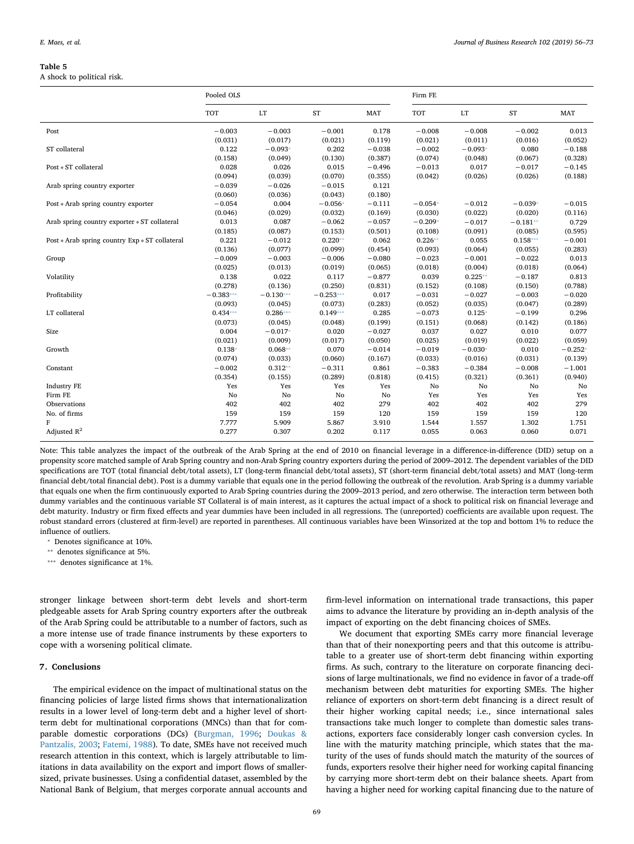### <span id="page-13-1"></span>**Table 5**

A shock to political risk.

|                                                | Pooled OLS  |             |             |          | Firm FE    |           |            |            |
|------------------------------------------------|-------------|-------------|-------------|----------|------------|-----------|------------|------------|
|                                                | <b>TOT</b>  | $_{\rm LT}$ | <b>ST</b>   | MAT      | <b>TOT</b> | LT        | ST         | <b>MAT</b> |
| Post                                           | $-0.003$    | $-0.003$    | $-0.001$    | 0.178    | $-0.008$   | $-0.008$  | $-0.002$   | 0.013      |
|                                                | (0.031)     | (0.017)     | (0.021)     | (0.119)  | (0.021)    | (0.011)   | (0.016)    | (0.052)    |
| ST collateral                                  | 0.122       | $-0.093*$   | 0.202       | $-0.038$ | $-0.002$   | $-0.093*$ | 0.080      | $-0.188$   |
|                                                | (0.158)     | (0.049)     | (0.130)     | (0.387)  | (0.074)    | (0.048)   | (0.067)    | (0.328)    |
| Post * ST collateral                           | 0.028       | 0.026       | 0.015       | $-0.496$ | $-0.013$   | 0.017     | $-0.017$   | $-0.145$   |
|                                                | (0.094)     | (0.039)     | (0.070)     | (0.355)  | (0.042)    | (0.026)   | (0.026)    | (0.188)    |
| Arab spring country exporter                   | $-0.039$    | $-0.026$    | $-0.015$    | 0.121    |            |           |            |            |
|                                                | (0.060)     | (0.036)     | (0.043)     | (0.180)  |            |           |            |            |
| Post * Arab spring country exporter            | $-0.054$    | 0.004       | $-0.056*$   | $-0.111$ | $-0.054*$  | $-0.012$  | $-0.039*$  | $-0.015$   |
|                                                | (0.046)     | (0.029)     | (0.032)     | (0.169)  | (0.030)    | (0.022)   | (0.020)    | (0.116)    |
| Arab spring country exporter * ST collateral   | 0.013       | 0.087       | $-0.062$    | $-0.057$ | $-0.209*$  | $-0.017$  | $-0.181**$ | 0.729      |
|                                                | (0.185)     | (0.087)     | (0.153)     | (0.501)  | (0.108)    | (0.091)   | (0.085)    | (0.595)    |
| Post * Arab spring country Exp * ST collateral | 0.221       | $-0.012$    | $0.220**$   | 0.062    | $0.226**$  | 0.055     | $0.158***$ | $-0.001$   |
|                                                | (0.136)     | (0.077)     | (0.099)     | (0.454)  | (0.093)    | (0.064)   | (0.055)    | (0.283)    |
| Group                                          | $-0.009$    | $-0.003$    | $-0.006$    | $-0.080$ | $-0.023$   | $-0.001$  | $-0.022$   | 0.013      |
|                                                | (0.025)     | (0.013)     | (0.019)     | (0.065)  | (0.018)    | (0.004)   | (0.018)    | (0.064)    |
| Volatility                                     | 0.138       | 0.022       | 0.117       | $-0.877$ | 0.039      | $0.225**$ | $-0.187$   | 0.813      |
|                                                | (0.278)     | (0.136)     | (0.250)     | (0.831)  | (0.152)    | (0.108)   | (0.150)    | (0.788)    |
| Profitability                                  | $-0.383***$ | $-0.130***$ | $-0.253***$ | 0.017    | $-0.031$   | $-0.027$  | $-0.003$   | $-0.020$   |
|                                                | (0.093)     | (0.045)     | (0.073)     | (0.283)  | (0.052)    | (0.035)   | (0.047)    | (0.289)    |
| LT collateral                                  | $0.434***$  | $0.286***$  | $0.149***$  | 0.285    | $-0.073$   | $0.125*$  | $-0.199$   | 0.296      |
|                                                | (0.073)     | (0.045)     | (0.048)     | (0.199)  | (0.151)    | (0.068)   | (0.142)    | (0.186)    |
| Size                                           | 0.004       | $-0.017*$   | 0.020       | $-0.027$ | 0.037      | 0.027     | 0.010      | 0.077      |
|                                                | (0.021)     | (0.009)     | (0.017)     | (0.050)  | (0.025)    | (0.019)   | (0.022)    | (0.059)    |
| Growth                                         | $0.138*$    | $0.068**$   | 0.070       | $-0.014$ | $-0.019$   | $-0.030*$ | 0.010      | $-0.252*$  |
|                                                | (0.074)     | (0.033)     | (0.060)     | (0.167)  | (0.033)    | (0.016)   | (0.031)    | (0.139)    |
| Constant                                       | $-0.002$    | $0.312**$   | $-0.311$    | 0.861    | $-0.383$   | $-0.384$  | $-0.008$   | $-1.001$   |
|                                                | (0.354)     | (0.155)     | (0.289)     | (0.818)  | (0.415)    | (0.321)   | (0.361)    | (0.940)    |
| Industry FE                                    | Yes         | Yes         | Yes         | Yes      | No         | $\rm No$  | No         | No         |
| Firm FE                                        | No          | No          | No          | No       | Yes        | Yes       | Yes        | Yes        |
| Observations                                   | 402         | 402         | 402         | 279      | 402        | 402       | 402        | 279        |
| No. of firms                                   | 159         | 159         | 159         | 120      | 159        | 159       | 159        | 120        |
| F                                              | 7.777       | 5.909       | 5.867       | 3.910    | 1.544      | 1.557     | 1.302      | 1.751      |
| Adjusted $R^2$                                 | 0.277       | 0.307       | 0.202       | 0.117    | 0.055      | 0.063     | 0.060      | 0.071      |

Note: This table analyzes the impact of the outbreak of the Arab Spring at the end of 2010 on financial leverage in a difference-in-difference (DID) setup on a propensity score matched sample of Arab Spring country and non-Arab Spring country exporters during the period of 2009–2012. The dependent variables of the DID specifications are TOT (total financial debt/total assets), LT (long-term financial debt/total assets), ST (short-term financial debt/total assets) and MAT (long-term financial debt/total financial debt). Post is a dummy variable that equals one in the period following the outbreak of the revolution. Arab Spring is a dummy variable that equals one when the firm continuously exported to Arab Spring countries during the 2009–2013 period, and zero otherwise. The interaction term between both dummy variables and the continuous variable ST Collateral is of main interest, as it captures the actual impact of a shock to political risk on financial leverage and debt maturity. Industry or firm fixed effects and year dummies have been included in all regressions. The (unreported) coefficients are available upon request. The robust standard errors (clustered at firm-level) are reported in parentheses. All continuous variables have been Winsorized at the top and bottom 1% to reduce the influence of outliers.

<span id="page-13-2"></span>⁎ Denotes significance at 10%.

<span id="page-13-3"></span>⁎⁎ denotes significance at 5%.

<span id="page-13-4"></span>\*\*\* denotes significance at 1%.

stronger linkage between short-term debt levels and short-term pledgeable assets for Arab Spring country exporters after the outbreak of the Arab Spring could be attributable to a number of factors, such as a more intense use of trade finance instruments by these exporters to cope with a worsening political climate.

### <span id="page-13-0"></span>**7. Conclusions**

The empirical evidence on the impact of multinational status on the financing policies of large listed firms shows that internationalization results in a lower level of long-term debt and a higher level of shortterm debt for multinational corporations (MNCs) than that for comparable domestic corporations (DCs) [\(Burgman, 1996](#page-17-4); [Doukas &](#page-17-5) [Pantzalis, 2003;](#page-17-5) [Fatemi, 1988](#page-17-6)). To date, SMEs have not received much research attention in this context, which is largely attributable to limitations in data availability on the export and import flows of smallersized, private businesses. Using a confidential dataset, assembled by the National Bank of Belgium, that merges corporate annual accounts and

firm-level information on international trade transactions, this paper aims to advance the literature by providing an in-depth analysis of the impact of exporting on the debt financing choices of SMEs.

We document that exporting SMEs carry more financial leverage than that of their nonexporting peers and that this outcome is attributable to a greater use of short-term debt financing within exporting firms. As such, contrary to the literature on corporate financing decisions of large multinationals, we find no evidence in favor of a trade-off mechanism between debt maturities for exporting SMEs. The higher reliance of exporters on short-term debt financing is a direct result of their higher working capital needs; i.e., since international sales transactions take much longer to complete than domestic sales transactions, exporters face considerably longer cash conversion cycles. In line with the maturity matching principle, which states that the maturity of the uses of funds should match the maturity of the sources of funds, exporters resolve their higher need for working capital financing by carrying more short-term debt on their balance sheets. Apart from having a higher need for working capital financing due to the nature of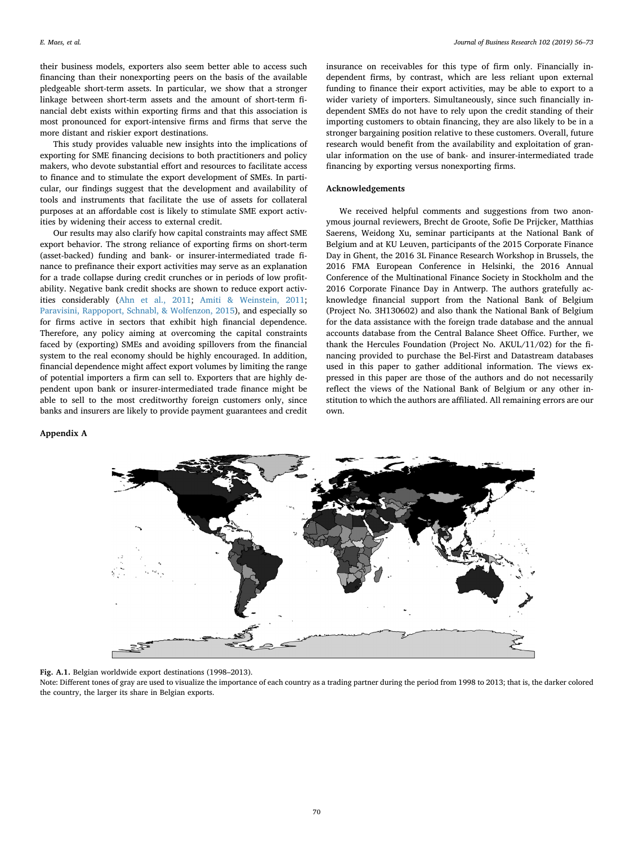their business models, exporters also seem better able to access such financing than their nonexporting peers on the basis of the available pledgeable short-term assets. In particular, we show that a stronger linkage between short-term assets and the amount of short-term financial debt exists within exporting firms and that this association is most pronounced for export-intensive firms and firms that serve the more distant and riskier export destinations.

This study provides valuable new insights into the implications of exporting for SME financing decisions to both practitioners and policy makers, who devote substantial effort and resources to facilitate access to finance and to stimulate the export development of SMEs. In particular, our findings suggest that the development and availability of tools and instruments that facilitate the use of assets for collateral purposes at an affordable cost is likely to stimulate SME export activities by widening their access to external credit.

Our results may also clarify how capital constraints may affect SME export behavior. The strong reliance of exporting firms on short-term (asset-backed) funding and bank- or insurer-intermediated trade finance to prefinance their export activities may serve as an explanation for a trade collapse during credit crunches or in periods of low profitability. Negative bank credit shocks are shown to reduce export activities considerably ([Ahn et al., 2011;](#page-16-1) [Amiti & Weinstein, 2011](#page-16-7); [Paravisini, Rappoport, Schnabl, & Wolfenzon, 2015\)](#page-17-49), and especially so for firms active in sectors that exhibit high financial dependence. Therefore, any policy aiming at overcoming the capital constraints faced by (exporting) SMEs and avoiding spillovers from the financial system to the real economy should be highly encouraged. In addition, financial dependence might affect export volumes by limiting the range of potential importers a firm can sell to. Exporters that are highly dependent upon bank or insurer-intermediated trade finance might be able to sell to the most creditworthy foreign customers only, since banks and insurers are likely to provide payment guarantees and credit

# **Appendix A**

insurance on receivables for this type of firm only. Financially independent firms, by contrast, which are less reliant upon external funding to finance their export activities, may be able to export to a wider variety of importers. Simultaneously, since such financially independent SMEs do not have to rely upon the credit standing of their importing customers to obtain financing, they are also likely to be in a stronger bargaining position relative to these customers. Overall, future research would benefit from the availability and exploitation of granular information on the use of bank- and insurer-intermediated trade financing by exporting versus nonexporting firms.

# **Acknowledgements**

We received helpful comments and suggestions from two anonymous journal reviewers, Brecht de Groote, Sofie De Prijcker, Matthias Saerens, Weidong Xu, seminar participants at the National Bank of Belgium and at KU Leuven, participants of the 2015 Corporate Finance Day in Ghent, the 2016 3L Finance Research Workshop in Brussels, the 2016 FMA European Conference in Helsinki, the 2016 Annual Conference of the Multinational Finance Society in Stockholm and the 2016 Corporate Finance Day in Antwerp. The authors gratefully acknowledge financial support from the National Bank of Belgium (Project No. 3H130602) and also thank the National Bank of Belgium for the data assistance with the foreign trade database and the annual accounts database from the Central Balance Sheet Office. Further, we thank the Hercules Foundation (Project No. AKUL/11/02) for the financing provided to purchase the Bel-First and Datastream databases used in this paper to gather additional information. The views expressed in this paper are those of the authors and do not necessarily reflect the views of the National Bank of Belgium or any other institution to which the authors are affiliated. All remaining errors are our own.



**Fig. A.1.** Belgian worldwide export destinations (1998–2013).

Note: Different tones of gray are used to visualize the importance of each country as a trading partner during the period from 1998 to 2013; that is, the darker colored the country, the larger its share in Belgian exports.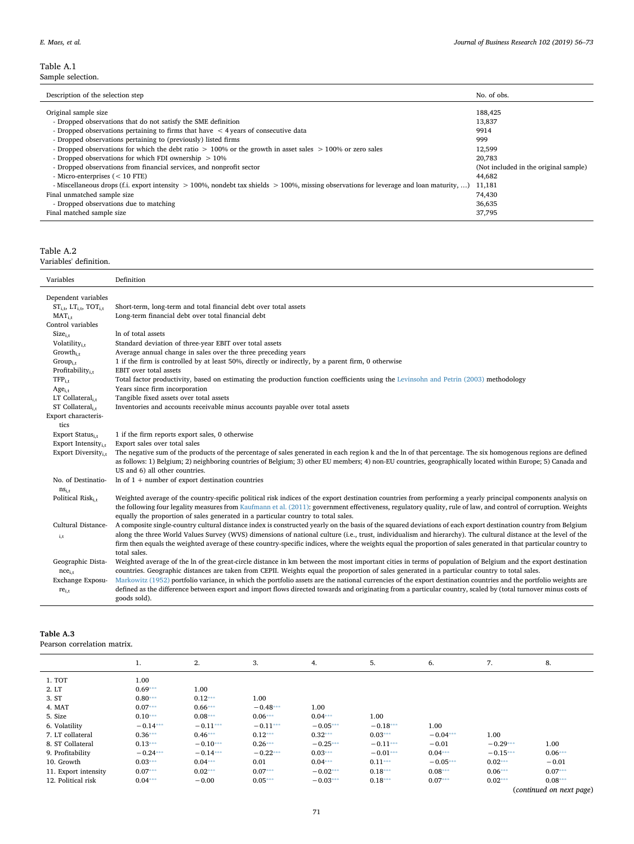# <span id="page-15-0"></span>Table A.1 Sample selection.

| Description of the selection step                                                                                                               | No. of obs.                           |
|-------------------------------------------------------------------------------------------------------------------------------------------------|---------------------------------------|
| Original sample size                                                                                                                            | 188,425                               |
| - Dropped observations that do not satisfy the SME definition                                                                                   | 13,837                                |
| - Dropped observations pertaining to firms that have < 4 years of consecutive data                                                              | 9914                                  |
| - Dropped observations pertaining to (previously) listed firms                                                                                  | 999                                   |
| - Dropped observations for which the debt ratio $> 100\%$ or the growth in asset sales $> 100\%$ or zero sales                                  | 12,599                                |
| - Dropped observations for which FDI ownership $>10\%$                                                                                          | 20,783                                |
| - Dropped observations from financial services, and nonprofit sector                                                                            | (Not included in the original sample) |
| - Micro-enterprises $(< 10$ FTE)                                                                                                                | 44,682                                |
| - Miscellaneous drops (f.i. export intensity $> 100\%$ , nondebt tax shields $> 100\%$ , missing observations for leverage and loan maturity, ) | 11,181                                |
| Final unmatched sample size                                                                                                                     | 74,430                                |
| - Dropped observations due to matching                                                                                                          | 36,635                                |
| Final matched sample size                                                                                                                       | 37,795                                |

# <span id="page-15-1"></span>Table A.2

Variables' definition.

| Variables                             | Definition                                                                                                                                                                                   |
|---------------------------------------|----------------------------------------------------------------------------------------------------------------------------------------------------------------------------------------------|
| Dependent variables                   |                                                                                                                                                                                              |
| $ST_{i,t}$ , $LT_{i,t}$ , $TOT_{i,t}$ | Short-term, long-term and total financial debt over total assets                                                                                                                             |
| $MAT_{i.t}$                           | Long-term financial debt over total financial debt                                                                                                                                           |
| Control variables                     |                                                                                                                                                                                              |
| $Size_{i.t}$                          | In of total assets                                                                                                                                                                           |
| Volatility <sub>i.t</sub>             | Standard deviation of three-year EBIT over total assets                                                                                                                                      |
| $Growth_{i.r}$                        | Average annual change in sales over the three preceding years                                                                                                                                |
| $Group_{i.f}$                         | 1 if the firm is controlled by at least 50%, directly or indirectly, by a parent firm, 0 otherwise                                                                                           |
| Profitability <sub>i.t</sub>          | EBIT over total assets                                                                                                                                                                       |
| $TFP_{i,t}$                           | Total factor productivity, based on estimating the production function coefficients using the Levinsohn and Petrin (2003) methodology                                                        |
| $Age_{i.t}$                           | Years since firm incorporation                                                                                                                                                               |
| LT Collateral <sub>i.t</sub>          | Tangible fixed assets over total assets                                                                                                                                                      |
| ST Collateral <sub>i.t</sub>          | Inventories and accounts receivable minus accounts payable over total assets                                                                                                                 |
| Export characteris-                   |                                                                                                                                                                                              |
| tics                                  |                                                                                                                                                                                              |
| Export Status <sub>i.t</sub>          | 1 if the firm reports export sales, 0 otherwise                                                                                                                                              |
| Export Intensity <sub>i.t</sub>       | Export sales over total sales                                                                                                                                                                |
| Export Diversity <sub>i.t</sub>       | The negative sum of the products of the percentage of sales generated in each region k and the ln of that percentage. The six homogenous regions are defined                                 |
|                                       | as follows: 1) Belgium; 2) neighboring countries of Belgium; 3) other EU members; 4) non-EU countries, geographically located within Europe; 5) Canada and<br>US and 6) all other countries. |
| No. of Destinatio-                    | In of $1 +$ number of export destination countries                                                                                                                                           |
| $ns_{i,t}$                            |                                                                                                                                                                                              |
| Political Risk <sub>i.t</sub>         | Weighted average of the country-specific political risk indices of the export destination countries from performing a yearly principal components analysis on                                |
|                                       | the following four legality measures from Kaufmann et al. (2011): government effectiveness, regulatory quality, rule of law, and control of corruption. Weights                              |
|                                       | equally the proportion of sales generated in a particular country to total sales.                                                                                                            |
| Cultural Distance-                    | A composite single-country cultural distance index is constructed yearly on the basis of the squared deviations of each export destination country from Belgium                              |
| i,t                                   | along the three World Values Survey (WVS) dimensions of national culture (i.e., trust, individualism and hierarchy). The cultural distance at the level of the                               |
|                                       | firm then equals the weighted average of these country-specific indices, where the weights equal the proportion of sales generated in that particular country to                             |
|                                       | total sales.                                                                                                                                                                                 |
| Geographic Dista-                     | Weighted average of the ln of the great-circle distance in km between the most important cities in terms of population of Belgium and the export destination                                 |
| $nce_{i.t}$                           | countries. Geographic distances are taken from CEPII. Weights equal the proportion of sales generated in a particular country to total sales.                                                |
| Exchange Exposu-                      | Markowitz (1952) portfolio variance, in which the portfolio assets are the national currencies of the export destination countries and the portfolio weights are                             |
| $re_{i,t}$                            | defined as the difference between export and import flows directed towards and originating from a particular country, scaled by (total turnover minus costs of                               |
|                                       | goods sold).                                                                                                                                                                                 |
|                                       |                                                                                                                                                                                              |

<span id="page-15-2"></span>

| Table A.3                   |
|-----------------------------|
| Pearson correlation matrix. |

|                      | ī.         | 2.         | 3.         | 4.         | 5.         | 6.         | 7.         | 8.                                               |
|----------------------|------------|------------|------------|------------|------------|------------|------------|--------------------------------------------------|
| 1. TOT               | 1.00       |            |            |            |            |            |            |                                                  |
| 2. LT                | $0.69***$  | 1.00       |            |            |            |            |            |                                                  |
| 3. ST                | $0.80***$  | $0.12***$  | 1.00       |            |            |            |            |                                                  |
| 4. MAT               | $0.07***$  | $0.66***$  | $-0.48***$ | 1.00       |            |            |            |                                                  |
| 5. Size              | $0.10***$  | $0.08***$  | $0.06***$  | $0.04***$  | 1.00       |            |            |                                                  |
| 6. Volatility        | $-0.14***$ | $-0.11***$ | $-0.11***$ | $-0.05***$ | $-0.18***$ | 1.00       |            |                                                  |
| 7. LT collateral     | $0.36***$  | $0.46***$  | $0.12***$  | $0.32***$  | $0.03***$  | $-0.04***$ | 1.00       |                                                  |
| 8. ST Collateral     | $0.13***$  | $-0.10***$ | $0.26***$  | $-0.25***$ | $-0.11***$ | $-0.01$    | $-0.29***$ | 1.00                                             |
| 9. Profitability     | $-0.24***$ | $-0.14***$ | $-0.22***$ | $0.03***$  | $-0.01***$ | $0.04***$  | $-0.15***$ | $0.06***$                                        |
| 10. Growth           | $0.03***$  | $0.04***$  | 0.01       | $0.04***$  | $0.11***$  | $-0.05***$ | $0.02***$  | $-0.01$                                          |
| 11. Export intensity | $0.07***$  | $0.02***$  | $0.07***$  | $-0.02***$ | $0.18***$  | $0.08***$  | $0.06***$  | $0.07***$                                        |
| 12. Political risk   | $0.04***$  | $-0.00$    | $0.05***$  | $-0.03***$ | $0.18***$  | $0.07***$  | $0.02***$  | $0.08***$                                        |
|                      |            |            |            |            |            |            |            | المعامر مرعوما ومراجع والمراجع ومعاشرها والمراجع |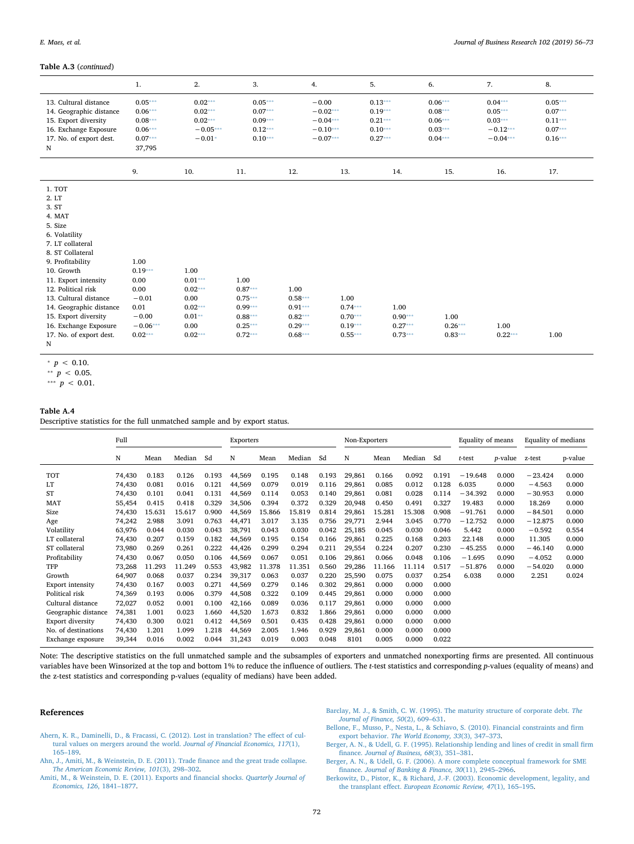|  | E. Maes, et al. |  |  |
|--|-----------------|--|--|
|--|-----------------|--|--|

# **Table A.3** (*continued*)

|                                                                                                                                                                                                                                                                                                                             | 1.                                                                                         | 2.                                                                                   | 3.                                                                                 | 4.                                                                    |                                                          | 5.                                                            | 6.                                                            | 7.                                                              | 8.                                                            |
|-----------------------------------------------------------------------------------------------------------------------------------------------------------------------------------------------------------------------------------------------------------------------------------------------------------------------------|--------------------------------------------------------------------------------------------|--------------------------------------------------------------------------------------|------------------------------------------------------------------------------------|-----------------------------------------------------------------------|----------------------------------------------------------|---------------------------------------------------------------|---------------------------------------------------------------|-----------------------------------------------------------------|---------------------------------------------------------------|
| 13. Cultural distance<br>14. Geographic distance<br>15. Export diversity<br>16. Exchange Exposure<br>17. No. of export dest.<br>$\, {\rm N}$                                                                                                                                                                                | $0.05***$<br>$0.06***$<br>$0.08***$<br>$0.06***$<br>$0.07***$<br>37,795                    | $0.02***$<br>$0.02***$<br>$0.02***$<br>$-0.05***$<br>$-0.01*$                        | $0.05***$<br>$0.07***$<br>$0.09***$<br>$0.12***$<br>$0.10***$                      | $-0.00$                                                               | $-0.02***$<br>$-0.04***$<br>$-0.10***$<br>$-0.07***$     | $0.13***$<br>$0.19***$<br>$0.21***$<br>$0.10***$<br>$0.27***$ | $0.06***$<br>$0.08***$<br>$0.06***$<br>$0.03***$<br>$0.04***$ | $0.04***$<br>$0.05***$<br>$0.03***$<br>$-0.12***$<br>$-0.04***$ | $0.05***$<br>$0.07***$<br>$0.11***$<br>$0.07***$<br>$0.16***$ |
|                                                                                                                                                                                                                                                                                                                             | 9.                                                                                         | 10.                                                                                  | 11.                                                                                | 12.                                                                   | 13.                                                      | 14.                                                           | 15.                                                           | 16.                                                             | 17.                                                           |
| 1. TOT<br>2. LT<br>3. ST<br>4. MAT<br>5. Size<br>6. Volatility<br>7. LT collateral<br>8. ST Collateral<br>9. Profitability<br>10. Growth<br>11. Export intensity<br>12. Political risk<br>13. Cultural distance<br>14. Geographic distance<br>15. Export diversity<br>16. Exchange Exposure<br>17. No. of export dest.<br>N | 1.00<br>$0.19***$<br>0.00<br>0.00<br>$-0.01$<br>0.01<br>$-0.00$<br>$-0.06***$<br>$0.02***$ | 1.00<br>$0.01***$<br>$0.02***$<br>0.00<br>$0.02***$<br>$0.01**$<br>0.00<br>$0.02***$ | 1.00<br>$0.87***$<br>$0.75***$<br>$0.99***$<br>$0.88***$<br>$0.25***$<br>$0.72***$ | 1.00<br>$0.58***$<br>$0.91***$<br>$0.82***$<br>$0.29***$<br>$0.68***$ | 1.00<br>$0.74***$<br>$0.70***$<br>$0.19***$<br>$0.55***$ | 1.00<br>$0.90***$<br>$0.27***$<br>$0.73***$                   | 1.00<br>$0.26***$<br>$0.83***$                                | 1.00<br>$0.22***$                                               | 1.00                                                          |

<span id="page-16-9"></span> $p < 0.10$ .

<span id="page-16-10"></span>\*\*  $p < 0.05$ .

<span id="page-16-8"></span>\*\*\*  $p < 0.01$ .

# <span id="page-16-5"></span>**Table A.4**

Descriptive statistics for the full unmatched sample and by export status.

|                     | Full   |        |        | Exporters |        |        | Non-Exporters |       |        |        | Equality of means |       | Equality of medians |                 |           |         |
|---------------------|--------|--------|--------|-----------|--------|--------|---------------|-------|--------|--------|-------------------|-------|---------------------|-----------------|-----------|---------|
|                     | N      | Mean   | Median | Sd        | N      | Mean   | Median        | Sd    | N      | Mean   | Median            | Sd    | t-test              | <i>p</i> -value | z-test    | p-value |
| <b>TOT</b>          | 74,430 | 0.183  | 0.126  | 0.193     | 44,569 | 0.195  | 0.148         | 0.193 | 29,861 | 0.166  | 0.092             | 0.191 | $-19.648$           | 0.000           | $-23.424$ | 0.000   |
| LT                  | 74,430 | 0.081  | 0.016  | 0.121     | 44,569 | 0.079  | 0.019         | 0.116 | 29,861 | 0.085  | 0.012             | 0.128 | 6.035               | 0.000           | $-4.563$  | 0.000   |
| <b>ST</b>           | 74,430 | 0.101  | 0.041  | 0.131     | 44,569 | 0.114  | 0.053         | 0.140 | 29,861 | 0.081  | 0.028             | 0.114 | $-34.392$           | 0.000           | $-30.953$ | 0.000   |
| <b>MAT</b>          | 55,454 | 0.415  | 0.418  | 0.329     | 34,506 | 0.394  | 0.372         | 0.329 | 20,948 | 0.450  | 0.491             | 0.327 | 19.483              | 0.000           | 18.269    | 0.000   |
| Size                | 74,430 | 15.631 | 15.617 | 0.900     | 44,569 | 15.866 | 15.819        | 0.814 | 29,861 | 15.281 | 15.308            | 0.908 | $-91.761$           | 0.000           | $-84.501$ | 0.000   |
| Age                 | 74,242 | 2.988  | 3.091  | 0.763     | 44,471 | 3.017  | 3.135         | 0.756 | 29,771 | 2.944  | 3.045             | 0.770 | $-12.752$           | 0.000           | $-12.875$ | 0.000   |
| Volatility          | 63,976 | 0.044  | 0.030  | 0.043     | 38,791 | 0.043  | 0.030         | 0.042 | 25,185 | 0.045  | 0.030             | 0.046 | 5.442               | 0.000           | $-0.592$  | 0.554   |
| LT collateral       | 74,430 | 0.207  | 0.159  | 0.182     | 44,569 | 0.195  | 0.154         | 0.166 | 29,861 | 0.225  | 0.168             | 0.203 | 22.148              | 0.000           | 11.305    | 0.000   |
| ST collateral       | 73,980 | 0.269  | 0.261  | 0.222     | 44,426 | 0.299  | 0.294         | 0.211 | 29,554 | 0.224  | 0.207             | 0.230 | $-45.255$           | 0.000           | $-46.140$ | 0.000   |
| Profitability       | 74,430 | 0.067  | 0.050  | 0.106     | 44,569 | 0.067  | 0.051         | 0.106 | 29,861 | 0.066  | 0.048             | 0.106 | $-1.695$            | 0.090           | $-4.052$  | 0.000   |
| TFP                 | 73,268 | 11.293 | 11.249 | 0.553     | 43,982 | 11.378 | 11.351        | 0.560 | 29,286 | 11.166 | 11.114            | 0.517 | $-51.876$           | 0.000           | $-54.020$ | 0.000   |
| Growth              | 64,907 | 0.068  | 0.037  | 0.234     | 39,317 | 0.063  | 0.037         | 0.220 | 25,590 | 0.075  | 0.037             | 0.254 | 6.038               | 0.000           | 2.251     | 0.024   |
| Export intensity    | 74,430 | 0.167  | 0.003  | 0.271     | 44,569 | 0.279  | 0.146         | 0.302 | 29,861 | 0.000  | 0.000             | 0.000 |                     |                 |           |         |
| Political risk      | 74,369 | 0.193  | 0.006  | 0.379     | 44,508 | 0.322  | 0.109         | 0.445 | 29,861 | 0.000  | 0.000             | 0.000 |                     |                 |           |         |
| Cultural distance   | 72,027 | 0.052  | 0.001  | 0.100     | 42,166 | 0.089  | 0.036         | 0.117 | 29,861 | 0.000  | 0.000             | 0.000 |                     |                 |           |         |
| Geographic distance | 74,381 | 1.001  | 0.023  | 1.660     | 44,520 | 1.673  | 0.832         | 1.866 | 29,861 | 0.000  | 0.000             | 0.000 |                     |                 |           |         |
| Export diversity    | 74,430 | 0.300  | 0.021  | 0.412     | 44,569 | 0.501  | 0.435         | 0.428 | 29,861 | 0.000  | 0.000             | 0.000 |                     |                 |           |         |
| No. of destinations | 74,430 | 1.201  | 1.099  | 1.218     | 44,569 | 2.005  | 1.946         | 0.929 | 29,861 | 0.000  | 0.000             | 0.000 |                     |                 |           |         |
| Exchange exposure   | 39,344 | 0.016  | 0.002  | 0.044     | 31,243 | 0.019  | 0.003         | 0.048 | 8101   | 0.005  | 0.000             | 0.022 |                     |                 |           |         |

Note: The descriptive statistics on the full unmatched sample and the subsamples of exporters and unmatched nonexporting firms are presented. All continuous variables have been Winsorized at the top and bottom 1% to reduce the influence of outliers. The *t*-test statistics and corresponding *p*-values (equality of means) and the z-test statistics and corresponding p-values (equality of medians) have been added.

#### **References**

- <span id="page-16-3"></span>[Ahern, K. R., Daminelli, D., & Fracassi, C. \(2012\). Lost in translation? The effect of cul](http://refhub.elsevier.com/S0148-2963(19)30310-8/rf0005)[tural values on mergers around the world.](http://refhub.elsevier.com/S0148-2963(19)30310-8/rf0005) *Journal of Financial Economics, 117*(1), [165–189](http://refhub.elsevier.com/S0148-2963(19)30310-8/rf0005).
- <span id="page-16-1"></span>[Ahn, J., Amiti, M., & Weinstein, D. E. \(2011\). Trade finance and the great trade collapse.](http://refhub.elsevier.com/S0148-2963(19)30310-8/rf0010) *[The American Economic Review, 101](http://refhub.elsevier.com/S0148-2963(19)30310-8/rf0010)*(3), 298–302.
- <span id="page-16-7"></span>[Amiti, M., & Weinstein, D. E. \(2011\). Exports and financial shocks.](http://refhub.elsevier.com/S0148-2963(19)30310-8/rf0015) *Quarterly Journal of [Economics, 126](http://refhub.elsevier.com/S0148-2963(19)30310-8/rf0015)*, 1841–1877.
- <span id="page-16-0"></span>[Barclay, M. J., & Smith, C. W. \(1995\). The maturity structure of corporate debt.](http://refhub.elsevier.com/S0148-2963(19)30310-8/rf0020) *The [Journal of Finance, 50](http://refhub.elsevier.com/S0148-2963(19)30310-8/rf0020)*(2), 609–631.
- <span id="page-16-6"></span>[Bellone, F., Musso, P., Nesta, L., & Schiavo, S. \(2010\). Financial constraints and firm](http://refhub.elsevier.com/S0148-2963(19)30310-8/rf0025) export behavior. *[The World Economy, 33](http://refhub.elsevier.com/S0148-2963(19)30310-8/rf0025)*(3), 347–373.
- <span id="page-16-2"></span>[Berger, A. N., & Udell, G. F. \(1995\). Relationship lending and lines of credit in small firm](http://refhub.elsevier.com/S0148-2963(19)30310-8/rf0035) finance. *[Journal of Business, 68](http://refhub.elsevier.com/S0148-2963(19)30310-8/rf0035)*(3), 351–381.
- [Berger, A. N., & Udell, G. F. \(2006\). A more complete conceptual framework for SME](http://refhub.elsevier.com/S0148-2963(19)30310-8/rf0040) finance. *[Journal of Banking & Finance, 30](http://refhub.elsevier.com/S0148-2963(19)30310-8/rf0040)*(11), 2945–2966.
- <span id="page-16-4"></span>[Berkowitz, D., Pistor, K., & Richard, J.-F. \(2003\). Economic development, legality, and](http://refhub.elsevier.com/S0148-2963(19)30310-8/rf0045) the transplant effect. *[European Economic Review, 47](http://refhub.elsevier.com/S0148-2963(19)30310-8/rf0045)*(1), 165–195.